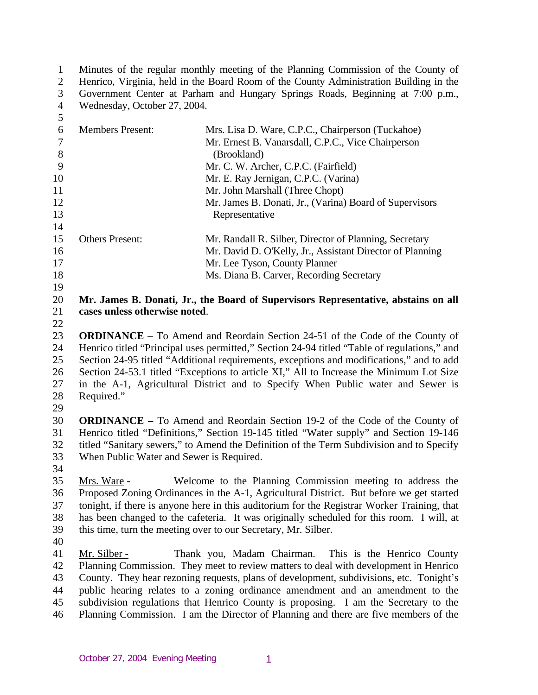1 2 3 4 5 6 7 8 9 10 11 12 13 14 15 16 17 18 19 20 21 22 23 24 25 26 27 28 29 30 31 32 33 34 Minutes of the regular monthly meeting of the Planning Commission of the County of Henrico, Virginia, held in the Board Room of the County Administration Building in the Government Center at Parham and Hungary Springs Roads, Beginning at 7:00 p.m., Wednesday, October 27, 2004. Members Present: Mrs. Lisa D. Ware, C.P.C., Chairperson (Tuckahoe) Mr. Ernest B. Vanarsdall, C.P.C., Vice Chairperson (Brookland) Mr. C. W. Archer, C.P.C. (Fairfield) Mr. E. Ray Jernigan, C.P.C. (Varina) Mr. John Marshall (Three Chopt) Mr. James B. Donati, Jr., (Varina) Board of Supervisors Representative Others Present: Mr. Randall R. Silber, Director of Planning, Secretary Mr. David D. O'Kelly, Jr., Assistant Director of Planning Mr. Lee Tyson, County Planner Ms. Diana B. Carver, Recording Secretary **Mr. James B. Donati, Jr., the Board of Supervisors Representative, abstains on all cases unless otherwise noted**. **ORDINANCE** – To Amend and Reordain Section 24-51 of the Code of the County of Henrico titled "Principal uses permitted," Section 24-94 titled "Table of regulations," and Section 24-95 titled "Additional requirements, exceptions and modifications," and to add Section 24-53.1 titled "Exceptions to article XI," All to Increase the Minimum Lot Size in the A-1, Agricultural District and to Specify When Public water and Sewer is Required." **ORDINANCE –** To Amend and Reordain Section 19-2 of the Code of the County of Henrico titled "Definitions," Section 19-145 titled "Water supply" and Section 19-146 titled "Sanitary sewers," to Amend the Definition of the Term Subdivision and to Specify When Public Water and Sewer is Required. 35 36 37 38 39 40 Mrs. Ware - Welcome to the Planning Commission meeting to address the Proposed Zoning Ordinances in the A-1, Agricultural District. But before we get started tonight, if there is anyone here in this auditorium for the Registrar Worker Training, that has been changed to the cafeteria. It was originally scheduled for this room. I will, at this time, turn the meeting over to our Secretary, Mr. Silber. 41 42 43 44 45 46 Mr. Silber - Thank you, Madam Chairman. This is the Henrico County Planning Commission. They meet to review matters to deal with development in Henrico County. They hear rezoning requests, plans of development, subdivisions, etc. Tonight's public hearing relates to a zoning ordinance amendment and an amendment to the subdivision regulations that Henrico County is proposing. I am the Secretary to the Planning Commission. I am the Director of Planning and there are five members of the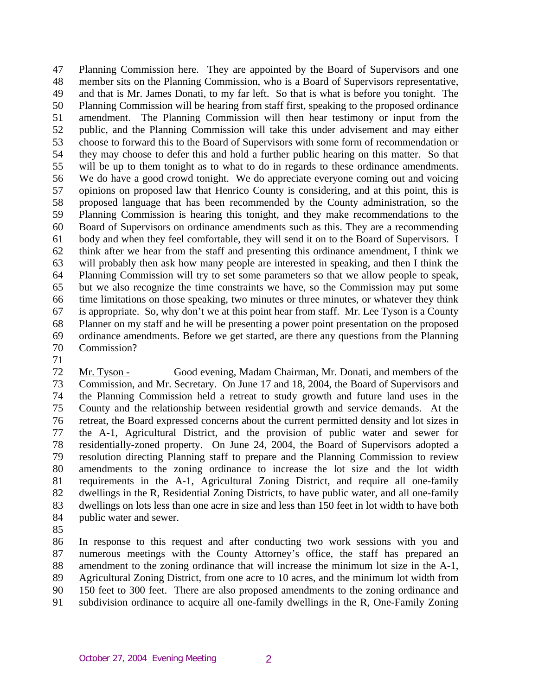47 48 49 50 51 52 53 54 55 56 57 58 59 60 61 62 63 64 65 66 67 68 69 70 Planning Commission here. They are appointed by the Board of Supervisors and one member sits on the Planning Commission, who is a Board of Supervisors representative, and that is Mr. James Donati, to my far left. So that is what is before you tonight. The Planning Commission will be hearing from staff first, speaking to the proposed ordinance amendment. The Planning Commission will then hear testimony or input from the public, and the Planning Commission will take this under advisement and may either choose to forward this to the Board of Supervisors with some form of recommendation or they may choose to defer this and hold a further public hearing on this matter. So that will be up to them tonight as to what to do in regards to these ordinance amendments. We do have a good crowd tonight. We do appreciate everyone coming out and voicing opinions on proposed law that Henrico County is considering, and at this point, this is proposed language that has been recommended by the County administration, so the Planning Commission is hearing this tonight, and they make recommendations to the Board of Supervisors on ordinance amendments such as this. They are a recommending body and when they feel comfortable, they will send it on to the Board of Supervisors. I think after we hear from the staff and presenting this ordinance amendment, I think we will probably then ask how many people are interested in speaking, and then I think the Planning Commission will try to set some parameters so that we allow people to speak, but we also recognize the time constraints we have, so the Commission may put some time limitations on those speaking, two minutes or three minutes, or whatever they think is appropriate. So, why don't we at this point hear from staff. Mr. Lee Tyson is a County Planner on my staff and he will be presenting a power point presentation on the proposed ordinance amendments. Before we get started, are there any questions from the Planning Commission?

71

72 73 74 75 76 77 78 79 80 81 82 83 84 Mr. Tyson - Good evening, Madam Chairman, Mr. Donati, and members of the Commission, and Mr. Secretary. On June 17 and 18, 2004, the Board of Supervisors and the Planning Commission held a retreat to study growth and future land uses in the County and the relationship between residential growth and service demands. At the retreat, the Board expressed concerns about the current permitted density and lot sizes in the A-1, Agricultural District, and the provision of public water and sewer for residentially-zoned property. On June 24, 2004, the Board of Supervisors adopted a resolution directing Planning staff to prepare and the Planning Commission to review amendments to the zoning ordinance to increase the lot size and the lot width requirements in the A-1, Agricultural Zoning District, and require all one-family dwellings in the R, Residential Zoning Districts, to have public water, and all one-family dwellings on lots less than one acre in size and less than 150 feet in lot width to have both public water and sewer.

85

86 87 88 89 90 91 In response to this request and after conducting two work sessions with you and numerous meetings with the County Attorney's office, the staff has prepared an amendment to the zoning ordinance that will increase the minimum lot size in the A-1, Agricultural Zoning District, from one acre to 10 acres, and the minimum lot width from 150 feet to 300 feet. There are also proposed amendments to the zoning ordinance and subdivision ordinance to acquire all one-family dwellings in the R, One-Family Zoning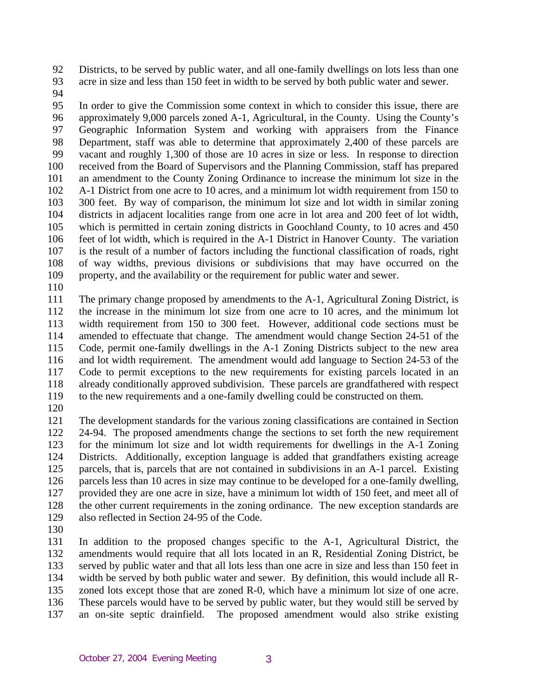92 93 Districts, to be served by public water, and all one-family dwellings on lots less than one acre in size and less than 150 feet in width to be served by both public water and sewer.

94

95 96 97 98 99 100 101 102 103 104 105 106 107 108 109 In order to give the Commission some context in which to consider this issue, there are approximately 9,000 parcels zoned A-1, Agricultural, in the County. Using the County's Geographic Information System and working with appraisers from the Finance Department, staff was able to determine that approximately 2,400 of these parcels are vacant and roughly 1,300 of those are 10 acres in size or less. In response to direction received from the Board of Supervisors and the Planning Commission, staff has prepared an amendment to the County Zoning Ordinance to increase the minimum lot size in the A-1 District from one acre to 10 acres, and a minimum lot width requirement from 150 to 300 feet. By way of comparison, the minimum lot size and lot width in similar zoning districts in adjacent localities range from one acre in lot area and 200 feet of lot width, which is permitted in certain zoning districts in Goochland County, to 10 acres and 450 feet of lot width, which is required in the A-1 District in Hanover County. The variation is the result of a number of factors including the functional classification of roads, right of way widths, previous divisions or subdivisions that may have occurred on the property, and the availability or the requirement for public water and sewer.

110

111 112 113 114 115 116 117 118 119 The primary change proposed by amendments to the A-1, Agricultural Zoning District, is the increase in the minimum lot size from one acre to 10 acres, and the minimum lot width requirement from 150 to 300 feet. However, additional code sections must be amended to effectuate that change. The amendment would change Section 24-51 of the Code, permit one-family dwellings in the A-1 Zoning Districts subject to the new area and lot width requirement. The amendment would add language to Section 24-53 of the Code to permit exceptions to the new requirements for existing parcels located in an already conditionally approved subdivision. These parcels are grandfathered with respect to the new requirements and a one-family dwelling could be constructed on them.

120

121 122 123 124 125 126 127 128 129 The development standards for the various zoning classifications are contained in Section 24-94. The proposed amendments change the sections to set forth the new requirement for the minimum lot size and lot width requirements for dwellings in the A-1 Zoning Districts. Additionally, exception language is added that grandfathers existing acreage parcels, that is, parcels that are not contained in subdivisions in an A-1 parcel. Existing parcels less than 10 acres in size may continue to be developed for a one-family dwelling, provided they are one acre in size, have a minimum lot width of 150 feet, and meet all of the other current requirements in the zoning ordinance. The new exception standards are also reflected in Section 24-95 of the Code.

130

131 132 133 134 135 136 137 In addition to the proposed changes specific to the A-1, Agricultural District, the amendments would require that all lots located in an R, Residential Zoning District, be served by public water and that all lots less than one acre in size and less than 150 feet in width be served by both public water and sewer. By definition, this would include all Rzoned lots except those that are zoned R-0, which have a minimum lot size of one acre. These parcels would have to be served by public water, but they would still be served by an on-site septic drainfield. The proposed amendment would also strike existing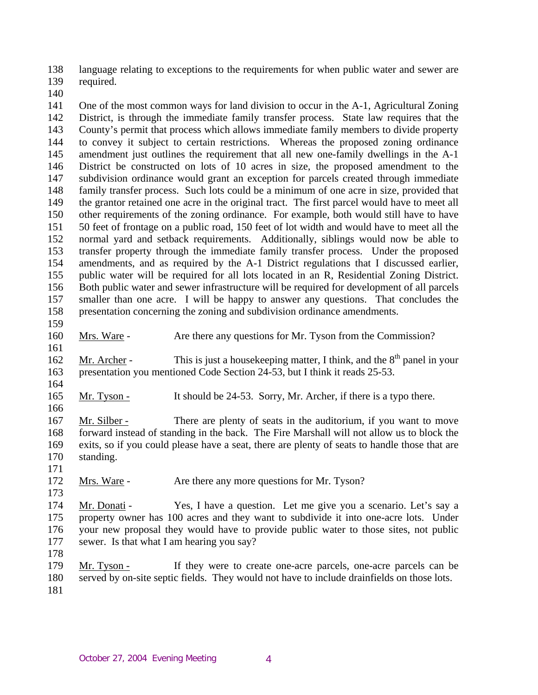138 139 language relating to exceptions to the requirements for when public water and sewer are required.

140

141 142 143 144 145 146 147 148 149 150 151 152 153 154 155 156 157 158 One of the most common ways for land division to occur in the A-1, Agricultural Zoning District, is through the immediate family transfer process. State law requires that the County's permit that process which allows immediate family members to divide property to convey it subject to certain restrictions. Whereas the proposed zoning ordinance amendment just outlines the requirement that all new one-family dwellings in the A-1 District be constructed on lots of 10 acres in size, the proposed amendment to the subdivision ordinance would grant an exception for parcels created through immediate family transfer process. Such lots could be a minimum of one acre in size, provided that the grantor retained one acre in the original tract. The first parcel would have to meet all other requirements of the zoning ordinance. For example, both would still have to have 50 feet of frontage on a public road, 150 feet of lot width and would have to meet all the normal yard and setback requirements. Additionally, siblings would now be able to transfer property through the immediate family transfer process. Under the proposed amendments, and as required by the A-1 District regulations that I discussed earlier, public water will be required for all lots located in an R, Residential Zoning District. Both public water and sewer infrastructure will be required for development of all parcels smaller than one acre. I will be happy to answer any questions. That concludes the presentation concerning the zoning and subdivision ordinance amendments.

159

164

166

160 Mrs. Ware - Are there any questions for Mr. Tyson from the Commission?

161 Mr. Archer - This is just a house keeping matter, I think, and the  $8<sup>th</sup>$  panel in your presentation you mentioned Code Section 24-53, but I think it reads 25-53. 162 163

165 Mr. Tyson - It should be 24-53. Sorry, Mr. Archer, if there is a typo there.

167 168 169 170 171 Mr. Silber - There are plenty of seats in the auditorium, if you want to move forward instead of standing in the back. The Fire Marshall will not allow us to block the exits, so if you could please have a seat, there are plenty of seats to handle those that are standing.

172 Mrs. Ware - Are there any more questions for Mr. Tyson?

173

174 175 176 177 Mr. Donati - Yes, I have a question. Let me give you a scenario. Let's say a property owner has 100 acres and they want to subdivide it into one-acre lots. Under your new proposal they would have to provide public water to those sites, not public sewer. Is that what I am hearing you say?

178

179 180 181 Mr. Tyson - If they were to create one-acre parcels, one-acre parcels can be served by on-site septic fields. They would not have to include drainfields on those lots.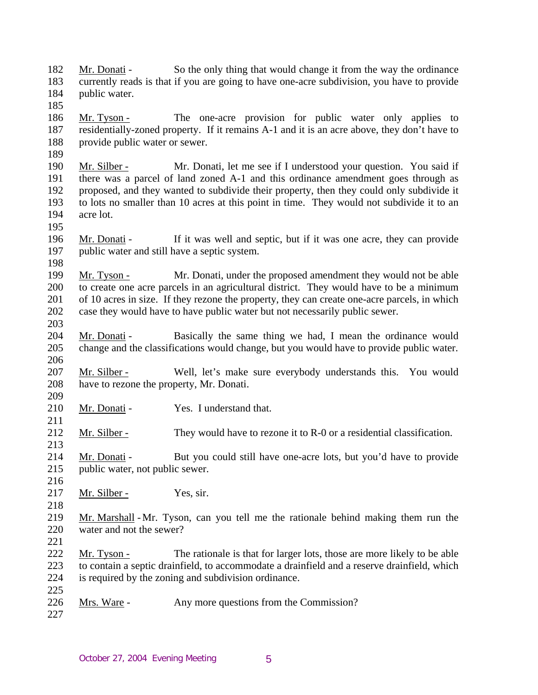182 183 184 Mr. Donati - So the only thing that would change it from the way the ordinance currently reads is that if you are going to have one-acre subdivision, you have to provide public water.

- 186 187 188 Mr. Tyson - The one-acre provision for public water only applies to residentially-zoned property. If it remains A-1 and it is an acre above, they don't have to provide public water or sewer.
- 190 191 192 193 194 Mr. Silber - Mr. Donati, let me see if I understood your question. You said if there was a parcel of land zoned A-1 and this ordinance amendment goes through as proposed, and they wanted to subdivide their property, then they could only subdivide it to lots no smaller than 10 acres at this point in time. They would not subdivide it to an acre lot.
- 196 197 Mr. Donati - If it was well and septic, but if it was one acre, they can provide public water and still have a septic system.
- 198

195

185

189

- 199 200 201 202 Mr. Tyson - Mr. Donati, under the proposed amendment they would not be able to create one acre parcels in an agricultural district. They would have to be a minimum of 10 acres in size. If they rezone the property, they can create one-acre parcels, in which case they would have to have public water but not necessarily public sewer.
- 203
- 204 205 206 Mr. Donati - Basically the same thing we had, I mean the ordinance would change and the classifications would change, but you would have to provide public water.
- 207 208 Mr. Silber - Well, let's make sure everybody understands this. You would have to rezone the property, Mr. Donati.
- 209 210 Mr. Donati - Yes. I understand that.
- 212 213 Mr. Silber - They would have to rezone it to R-0 or a residential classification.
- 214 215 Mr. Donati - But you could still have one-acre lots, but you'd have to provide public water, not public sewer.
- 216 217

- Mr. Silber Yes, sir.
- 218
- 
- 219 220 Mr. Marshall - Mr. Tyson, can you tell me the rationale behind making them run the water and not the sewer?
- 221
- 222 223 224 225 Mr. Tyson - The rationale is that for larger lots, those are more likely to be able to contain a septic drainfield, to accommodate a drainfield and a reserve drainfield, which is required by the zoning and subdivision ordinance.
- 226 Mrs. Ware - Any more questions from the Commission?
- 227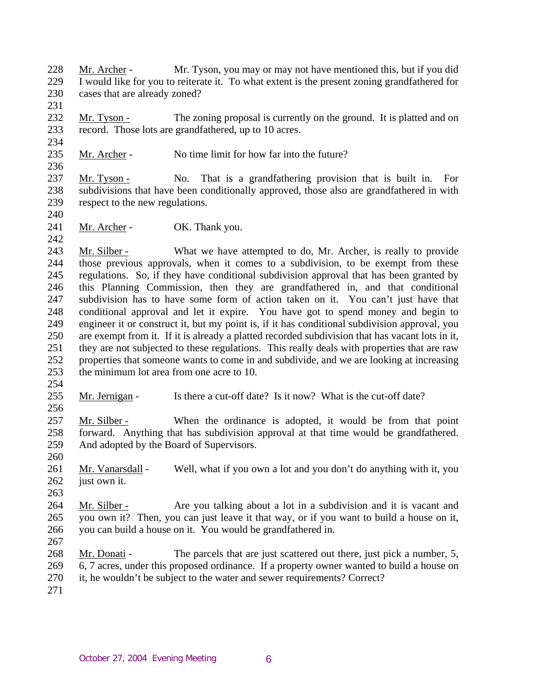228 229 230 Mr. Archer - Mr. Tyson, you may or may not have mentioned this, but if you did I would like for you to reiterate it. To what extent is the present zoning grandfathered for cases that are already zoned?

232 233 Mr. Tyson - The zoning proposal is currently on the ground. It is platted and on record. Those lots are grandfathered, up to 10 acres.

235 Mr. Archer - No time limit for how far into the future?

237 238 239 Mr. Tyson - No. That is a grandfathering provision that is built in. For subdivisions that have been conditionally approved, those also are grandfathered in with respect to the new regulations.

241 Mr. Archer - OK. Thank you.

243 244 245 246 247 248 249 250 251 252 253 Mr. Silber - What we have attempted to do, Mr. Archer, is really to provide those previous approvals, when it comes to a subdivision, to be exempt from these regulations. So, if they have conditional subdivision approval that has been granted by this Planning Commission, then they are grandfathered in, and that conditional subdivision has to have some form of action taken on it. You can't just have that conditional approval and let it expire. You have got to spend money and begin to engineer it or construct it, but my point is, if it has conditional subdivision approval, you are exempt from it. If it is already a platted recorded subdivision that has vacant lots in it, they are not subjected to these regulations. This really deals with properties that are raw properties that someone wants to come in and subdivide, and we are looking at increasing the minimum lot area from one acre to 10.

254

256

231

234

236

240

242

255 Mr. Jernigan - Is there a cut-off date? Is it now? What is the cut-off date?

257 258 259 Mr. Silber - When the ordinance is adopted, it would be from that point forward. Anything that has subdivision approval at that time would be grandfathered. And adopted by the Board of Supervisors.

260

261 262 Mr. Vanarsdall - Well, what if you own a lot and you don't do anything with it, you just own it.

263

264 265 266 Mr. Silber - Are you talking about a lot in a subdivision and it is vacant and you own it? Then, you can just leave it that way, or if you want to build a house on it, you can build a house on it. You would be grandfathered in.

267

268 269 270 Mr. Donati - The parcels that are just scattered out there, just pick a number, 5, 6, 7 acres, under this proposed ordinance. If a property owner wanted to build a house on it, he wouldn't be subject to the water and sewer requirements? Correct?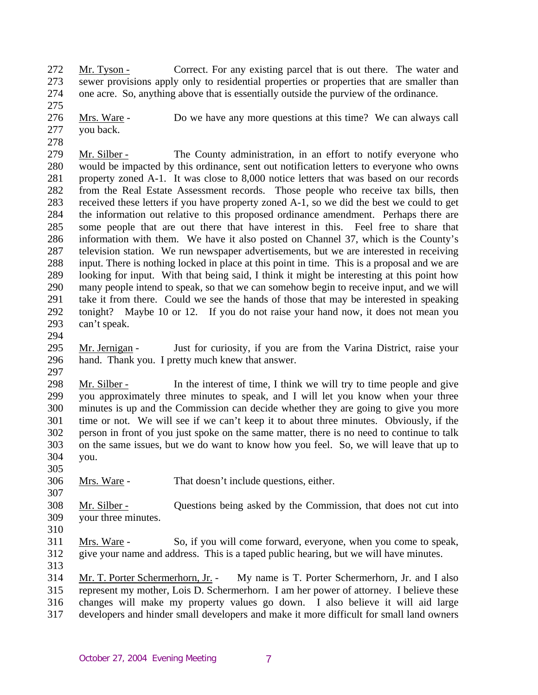272 273 274 Mr. Tyson - Correct. For any existing parcel that is out there. The water and sewer provisions apply only to residential properties or properties that are smaller than one acre. So, anything above that is essentially outside the purview of the ordinance.

276 277 Mrs. Ware - Do we have any more questions at this time? We can always call you back.

279 280 281 282 283 284 285 286 287 288 289 290 291 292 293 Mr. Silber - The County administration, in an effort to notify everyone who would be impacted by this ordinance, sent out notification letters to everyone who owns property zoned A-1. It was close to 8,000 notice letters that was based on our records from the Real Estate Assessment records. Those people who receive tax bills, then received these letters if you have property zoned A-1, so we did the best we could to get the information out relative to this proposed ordinance amendment. Perhaps there are some people that are out there that have interest in this. Feel free to share that information with them. We have it also posted on Channel 37, which is the County's television station. We run newspaper advertisements, but we are interested in receiving input. There is nothing locked in place at this point in time. This is a proposal and we are looking for input. With that being said, I think it might be interesting at this point how many people intend to speak, so that we can somehow begin to receive input, and we will take it from there. Could we see the hands of those that may be interested in speaking tonight? Maybe 10 or 12. If you do not raise your hand now, it does not mean you can't speak.

294

275

278

295 296 297 Mr. Jernigan - Just for curiosity, if you are from the Varina District, raise your hand. Thank you. I pretty much knew that answer.

298 299 300 301 302 303 304 Mr. Silber - In the interest of time, I think we will try to time people and give you approximately three minutes to speak, and I will let you know when your three minutes is up and the Commission can decide whether they are going to give you more time or not. We will see if we can't keep it to about three minutes. Obviously, if the person in front of you just spoke on the same matter, there is no need to continue to talk on the same issues, but we do want to know how you feel. So, we will leave that up to you.

305

307

306 Mrs. Ware - That doesn't include questions, either.

308 309 Mr. Silber - Questions being asked by the Commission, that does not cut into your three minutes.

310 311 312 Mrs. Ware - So, if you will come forward, everyone, when you come to speak, give your name and address. This is a taped public hearing, but we will have minutes.

313

314 315 316 317 Mr. T. Porter Schermerhorn, Jr. - My name is T. Porter Schermerhorn, Jr. and I also represent my mother, Lois D. Schermerhorn. I am her power of attorney. I believe these changes will make my property values go down. I also believe it will aid large developers and hinder small developers and make it more difficult for small land owners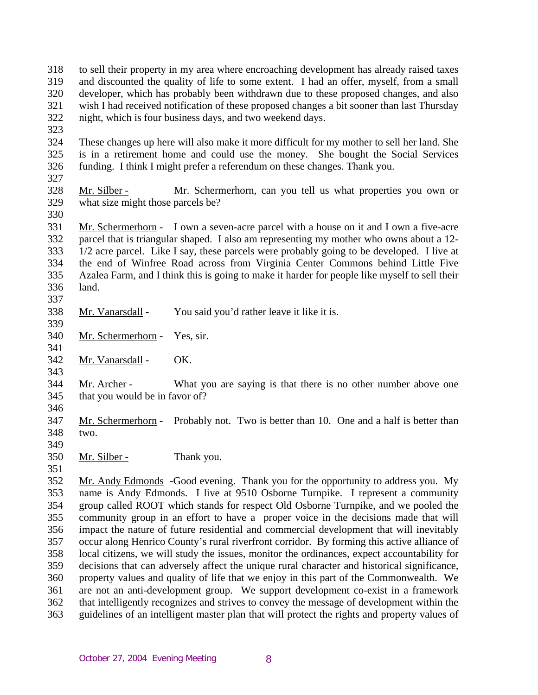- 318 319 320 321 322 to sell their property in my area where encroaching development has already raised taxes and discounted the quality of life to some extent. I had an offer, myself, from a small developer, which has probably been withdrawn due to these proposed changes, and also wish I had received notification of these proposed changes a bit sooner than last Thursday night, which is four business days, and two weekend days.
- 323
- 324 325 326 These changes up here will also make it more difficult for my mother to sell her land. She is in a retirement home and could use the money. She bought the Social Services funding. I think I might prefer a referendum on these changes. Thank you.
- 327
- 328 329 Mr. Silber - Mr. Schermerhorn, can you tell us what properties you own or what size might those parcels be?
- 330

331 332 333 334 335 336 Mr. Schermerhorn - I own a seven-acre parcel with a house on it and I own a five-acre parcel that is triangular shaped. I also am representing my mother who owns about a 12- 1/2 acre parcel. Like I say, these parcels were probably going to be developed. I live at the end of Winfree Road across from Virginia Center Commons behind Little Five Azalea Farm, and I think this is going to make it harder for people like myself to sell their land.

337 338

Mr. Vanarsdall - You said you'd rather leave it like it is.

339 340

341

343

Mr. Schermerhorn - Yes, sir.

342 Mr. Vanarsdall - OK.

344 345 Mr. Archer - What you are saying is that there is no other number above one that you would be in favor of?

346

347 348 Mr. Schermerhorn - Probably not. Two is better than 10. One and a half is better than two.

- 349
- 350 Mr. Silber - Thank you.
- 351 352 353 354 355 356 357 358 359 360 361 362 363 Mr. Andy Edmonds -Good evening. Thank you for the opportunity to address you. My name is Andy Edmonds. I live at 9510 Osborne Turnpike. I represent a community group called ROOT which stands for respect Old Osborne Turnpike, and we pooled the community group in an effort to have a proper voice in the decisions made that will impact the nature of future residential and commercial development that will inevitably occur along Henrico County's rural riverfront corridor. By forming this active alliance of local citizens, we will study the issues, monitor the ordinances, expect accountability for decisions that can adversely affect the unique rural character and historical significance, property values and quality of life that we enjoy in this part of the Commonwealth. We are not an anti-development group. We support development co-exist in a framework that intelligently recognizes and strives to convey the message of development within the guidelines of an intelligent master plan that will protect the rights and property values of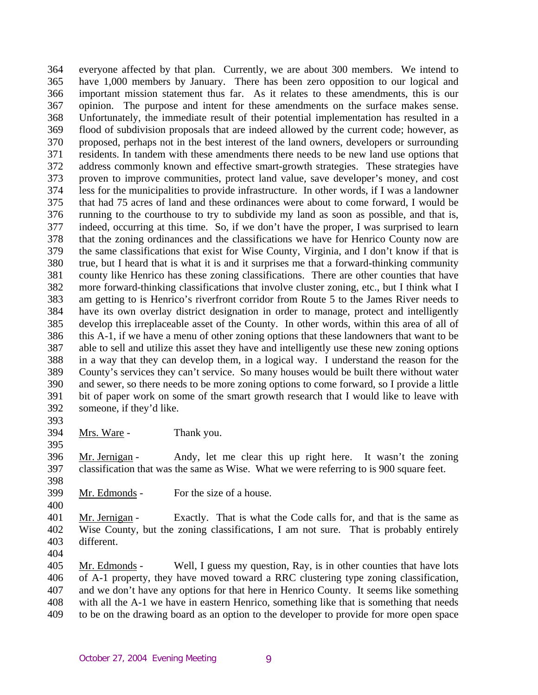364 365 366 367 368 369 370 371 372 373 374 375 376 377 378 379 380 381 382 383 384 385 386 387 388 389 390 391 392 everyone affected by that plan. Currently, we are about 300 members. We intend to have 1,000 members by January. There has been zero opposition to our logical and important mission statement thus far. As it relates to these amendments, this is our opinion. The purpose and intent for these amendments on the surface makes sense. Unfortunately, the immediate result of their potential implementation has resulted in a flood of subdivision proposals that are indeed allowed by the current code; however, as proposed, perhaps not in the best interest of the land owners, developers or surrounding residents. In tandem with these amendments there needs to be new land use options that address commonly known and effective smart-growth strategies. These strategies have proven to improve communities, protect land value, save developer's money, and cost less for the municipalities to provide infrastructure. In other words, if I was a landowner that had 75 acres of land and these ordinances were about to come forward, I would be running to the courthouse to try to subdivide my land as soon as possible, and that is, indeed, occurring at this time. So, if we don't have the proper, I was surprised to learn that the zoning ordinances and the classifications we have for Henrico County now are the same classifications that exist for Wise County, Virginia, and I don't know if that is true, but I heard that is what it is and it surprises me that a forward-thinking community county like Henrico has these zoning classifications. There are other counties that have more forward-thinking classifications that involve cluster zoning, etc., but I think what I am getting to is Henrico's riverfront corridor from Route 5 to the James River needs to have its own overlay district designation in order to manage, protect and intelligently develop this irreplaceable asset of the County. In other words, within this area of all of this A-1, if we have a menu of other zoning options that these landowners that want to be able to sell and utilize this asset they have and intelligently use these new zoning options in a way that they can develop them, in a logical way. I understand the reason for the County's services they can't service. So many houses would be built there without water and sewer, so there needs to be more zoning options to come forward, so I provide a little bit of paper work on some of the smart growth research that I would like to leave with someone, if they'd like.

393 394

395

Mrs. Ware - Thank you.

396 397 Mr. Jernigan - Andy, let me clear this up right here. It wasn't the zoning classification that was the same as Wise. What we were referring to is 900 square feet.

398

399 Mr. Edmonds - For the size of a house.

400

401 402 403 Mr. Jernigan - Exactly. That is what the Code calls for, and that is the same as Wise County, but the zoning classifications, I am not sure. That is probably entirely different.

404

405 406 407 408 409 Mr. Edmonds - Well, I guess my question, Ray, is in other counties that have lots of A-1 property, they have moved toward a RRC clustering type zoning classification, and we don't have any options for that here in Henrico County. It seems like something with all the A-1 we have in eastern Henrico, something like that is something that needs to be on the drawing board as an option to the developer to provide for more open space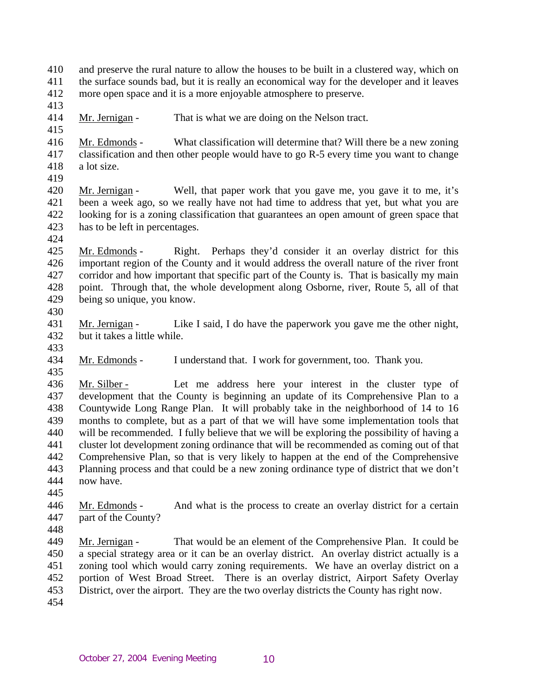410 411 412 and preserve the rural nature to allow the houses to be built in a clustered way, which on the surface sounds bad, but it is really an economical way for the developer and it leaves more open space and it is a more enjoyable atmosphere to preserve.

413

415

414 Mr. Jernigan - That is what we are doing on the Nelson tract.

416 417 418 Mr. Edmonds - What classification will determine that? Will there be a new zoning classification and then other people would have to go R-5 every time you want to change a lot size.

419

420 421 422 423 Mr. Jernigan - Well, that paper work that you gave me, you gave it to me, it's been a week ago, so we really have not had time to address that yet, but what you are looking for is a zoning classification that guarantees an open amount of green space that has to be left in percentages.

424

425 426 427 428 429 Mr. Edmonds - Right. Perhaps they'd consider it an overlay district for this important region of the County and it would address the overall nature of the river front corridor and how important that specific part of the County is. That is basically my main point. Through that, the whole development along Osborne, river, Route 5, all of that being so unique, you know.

430

431 432 Mr. Jernigan - Like I said, I do have the paperwork you gave me the other night, but it takes a little while.

433

434 435 Mr. Edmonds - I understand that. I work for government, too. Thank you.

436 437 438 439 440 441 442 443 444 Mr. Silber - Let me address here your interest in the cluster type of development that the County is beginning an update of its Comprehensive Plan to a Countywide Long Range Plan. It will probably take in the neighborhood of 14 to 16 months to complete, but as a part of that we will have some implementation tools that will be recommended. I fully believe that we will be exploring the possibility of having a cluster lot development zoning ordinance that will be recommended as coming out of that Comprehensive Plan, so that is very likely to happen at the end of the Comprehensive Planning process and that could be a new zoning ordinance type of district that we don't now have.

445

446 447 Mr. Edmonds - And what is the process to create an overlay district for a certain part of the County?

448

449 450 451 452 453 454 Mr. Jernigan - That would be an element of the Comprehensive Plan. It could be a special strategy area or it can be an overlay district. An overlay district actually is a zoning tool which would carry zoning requirements. We have an overlay district on a portion of West Broad Street. There is an overlay district, Airport Safety Overlay District, over the airport. They are the two overlay districts the County has right now.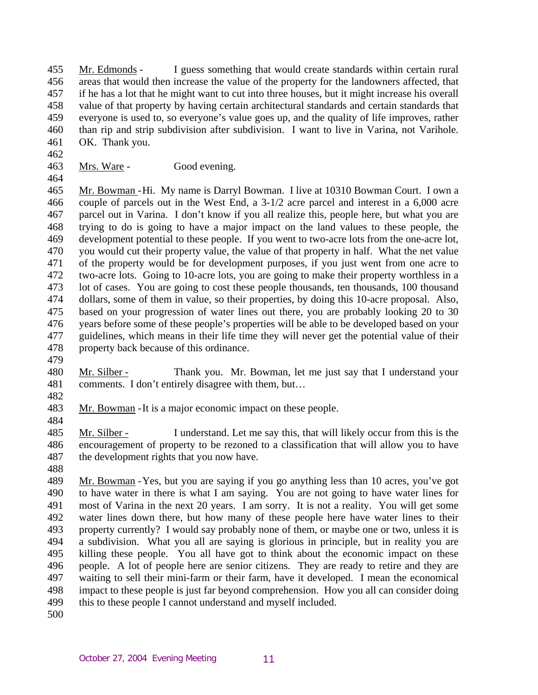455 456 457 458 459 460 461 Mr. Edmonds - I guess something that would create standards within certain rural areas that would then increase the value of the property for the landowners affected, that if he has a lot that he might want to cut into three houses, but it might increase his overall value of that property by having certain architectural standards and certain standards that everyone is used to, so everyone's value goes up, and the quality of life improves, rather than rip and strip subdivision after subdivision. I want to live in Varina, not Varihole. OK. Thank you.

462

Mrs. Ware - Good evening.

464

463

465 466 467 468 469 470 471 472 473 474 475 476 477 478 Mr. Bowman - Hi. My name is Darryl Bowman. I live at 10310 Bowman Court. I own a couple of parcels out in the West End, a 3-1/2 acre parcel and interest in a 6,000 acre parcel out in Varina. I don't know if you all realize this, people here, but what you are trying to do is going to have a major impact on the land values to these people, the development potential to these people. If you went to two-acre lots from the one-acre lot, you would cut their property value, the value of that property in half. What the net value of the property would be for development purposes, if you just went from one acre to two-acre lots. Going to 10-acre lots, you are going to make their property worthless in a lot of cases. You are going to cost these people thousands, ten thousands, 100 thousand dollars, some of them in value, so their properties, by doing this 10-acre proposal. Also, based on your progression of water lines out there, you are probably looking 20 to 30 years before some of these people's properties will be able to be developed based on your guidelines, which means in their life time they will never get the potential value of their property back because of this ordinance.

479

480 481 Mr. Silber - Thank you. Mr. Bowman, let me just say that I understand your comments. I don't entirely disagree with them, but…

482

483 Mr. Bowman - It is a major economic impact on these people.

484

485 486 487 Mr. Silber - I understand. Let me say this, that will likely occur from this is the encouragement of property to be rezoned to a classification that will allow you to have the development rights that you now have.

488

489 490 491 492 493 494 495 496 497 498 499 Mr. Bowman - Yes, but you are saying if you go anything less than 10 acres, you've got to have water in there is what I am saying. You are not going to have water lines for most of Varina in the next 20 years. I am sorry. It is not a reality. You will get some water lines down there, but how many of these people here have water lines to their property currently? I would say probably none of them, or maybe one or two, unless it is a subdivision. What you all are saying is glorious in principle, but in reality you are killing these people. You all have got to think about the economic impact on these people. A lot of people here are senior citizens. They are ready to retire and they are waiting to sell their mini-farm or their farm, have it developed. I mean the economical impact to these people is just far beyond comprehension. How you all can consider doing this to these people I cannot understand and myself included.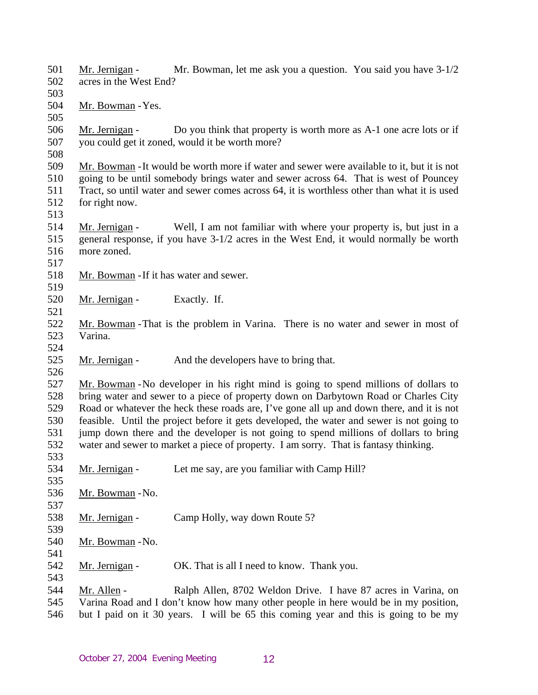501 502 503 Mr. Jernigan - Mr. Bowman, let me ask you a question. You said you have  $3-1/2$ acres in the West End? 504 505 Mr. Bowman - Yes. 506 507 508 Mr. Jernigan - Do you think that property is worth more as A-1 one acre lots or if you could get it zoned, would it be worth more? 509 510 511 512 513 Mr. Bowman - It would be worth more if water and sewer were available to it, but it is not going to be until somebody brings water and sewer across 64. That is west of Pouncey Tract, so until water and sewer comes across 64, it is worthless other than what it is used for right now. 514 515 516 517 Mr. Jernigan - Well, I am not familiar with where your property is, but just in a general response, if you have 3-1/2 acres in the West End, it would normally be worth more zoned. 518 519 Mr. Bowman - If it has water and sewer. 520 521 Mr. Jernigan - Exactly. If. 522 523 524 Mr. Bowman - That is the problem in Varina. There is no water and sewer in most of Varina. 525 526 Mr. Jernigan - And the developers have to bring that. 527 528 529 530 531 532 533 Mr. Bowman - No developer in his right mind is going to spend millions of dollars to bring water and sewer to a piece of property down on Darbytown Road or Charles City Road or whatever the heck these roads are, I've gone all up and down there, and it is not feasible. Until the project before it gets developed, the water and sewer is not going to jump down there and the developer is not going to spend millions of dollars to bring water and sewer to market a piece of property. I am sorry. That is fantasy thinking. 534 535 Mr. Jernigan - Let me say, are you familiar with Camp Hill? 536 537 Mr. Bowman - No. 538 539 Mr. Jernigan - Camp Holly, way down Route 5? 540 541 Mr. Bowman - No. 542 543 Mr. Jernigan - OK. That is all I need to know. Thank you. 544 545 546 Mr. Allen - Ralph Allen, 8702 Weldon Drive. I have 87 acres in Varina, on Varina Road and I don't know how many other people in here would be in my position, but I paid on it 30 years. I will be 65 this coming year and this is going to be my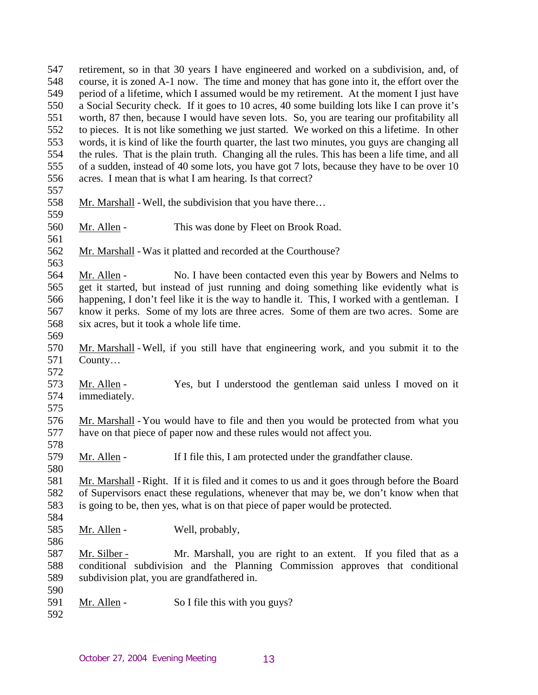547 548 549 550 551 552 553 554 555 556 557 retirement, so in that 30 years I have engineered and worked on a subdivision, and, of course, it is zoned A-1 now. The time and money that has gone into it, the effort over the period of a lifetime, which I assumed would be my retirement. At the moment I just have a Social Security check. If it goes to 10 acres, 40 some building lots like I can prove it's worth, 87 then, because I would have seven lots. So, you are tearing our profitability all to pieces. It is not like something we just started. We worked on this a lifetime. In other words, it is kind of like the fourth quarter, the last two minutes, you guys are changing all the rules. That is the plain truth. Changing all the rules. This has been a life time, and all of a sudden, instead of 40 some lots, you have got 7 lots, because they have to be over 10 acres. I mean that is what I am hearing. Is that correct?

- 558 559 Mr. Marshall - Well, the subdivision that you have there…
- 560 Mr. Allen - This was done by Fleet on Brook Road.
- 562 Mr. Marshall - Was it platted and recorded at the Courthouse?
- 564 565 566 567 568 Mr. Allen - No. I have been contacted even this year by Bowers and Nelms to get it started, but instead of just running and doing something like evidently what is happening, I don't feel like it is the way to handle it. This, I worked with a gentleman. I know it perks. Some of my lots are three acres. Some of them are two acres. Some are six acres, but it took a whole life time.
- 570 571 Mr. Marshall - Well, if you still have that engineering work, and you submit it to the County…
- 573 574 Mr. Allen - Yes, but I understood the gentleman said unless I moved on it immediately.
- 576 577 Mr. Marshall - You would have to file and then you would be protected from what you have on that piece of paper now and these rules would not affect you.
- 579 Mr. Allen - If I file this, I am protected under the grandfather clause.
- 581 582 583 584 Mr. Marshall - Right. If it is filed and it comes to us and it goes through before the Board of Supervisors enact these regulations, whenever that may be, we don't know when that is going to be, then yes, what is on that piece of paper would be protected.
- 585 Mr. Allen - Well, probably,
- 587 588 589 Mr. Silber - Mr. Marshall, you are right to an extent. If you filed that as a conditional subdivision and the Planning Commission approves that conditional subdivision plat, you are grandfathered in.
- 591 Mr. Allen - So I file this with you guys?
- 592

590

561

563

569

572

575

578

580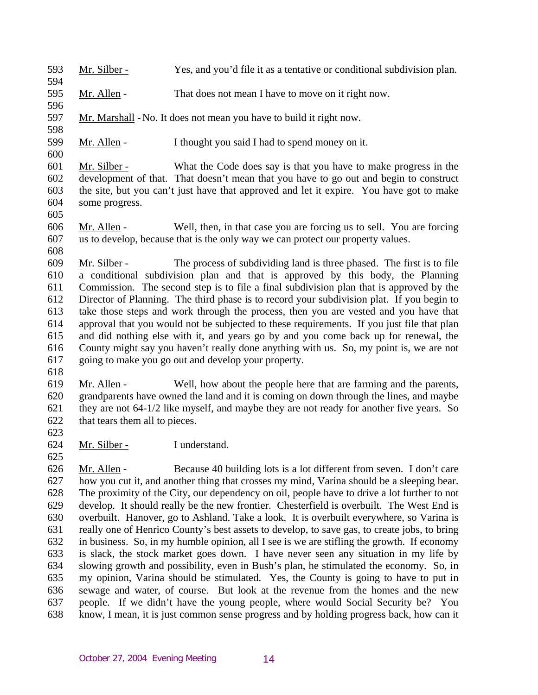593 Mr. Silber - Yes, and you'd file it as a tentative or conditional subdivision plan.

595 Mr. Allen - That does not mean I have to move on it right now.

597 Mr. Marshall - No. It does not mean you have to build it right now.

599 Mr. Allen - I thought you said I had to spend money on it.

601 602 603 604 Mr. Silber - What the Code does say is that you have to make progress in the development of that. That doesn't mean that you have to go out and begin to construct the site, but you can't just have that approved and let it expire. You have got to make some progress.

605

594

596

598

600

606 607 608 Mr. Allen - Well, then, in that case you are forcing us to sell. You are forcing us to develop, because that is the only way we can protect our property values.

609 610 611 612 613 614 615 616 617 Mr. Silber - The process of subdividing land is three phased. The first is to file a conditional subdivision plan and that is approved by this body, the Planning Commission. The second step is to file a final subdivision plan that is approved by the Director of Planning. The third phase is to record your subdivision plat. If you begin to take those steps and work through the process, then you are vested and you have that approval that you would not be subjected to these requirements. If you just file that plan and did nothing else with it, and years go by and you come back up for renewal, the County might say you haven't really done anything with us. So, my point is, we are not going to make you go out and develop your property.

618

619 620 621 622 Mr. Allen - Well, how about the people here that are farming and the parents, grandparents have owned the land and it is coming on down through the lines, and maybe they are not 64-1/2 like myself, and maybe they are not ready for another five years. So that tears them all to pieces.

623

625

624 Mr. Silber - I understand.

626 627 628 629 630 631 632 633 634 635 636 637 638 Mr. Allen - Because 40 building lots is a lot different from seven. I don't care how you cut it, and another thing that crosses my mind, Varina should be a sleeping bear. The proximity of the City, our dependency on oil, people have to drive a lot further to not develop. It should really be the new frontier. Chesterfield is overbuilt. The West End is overbuilt. Hanover, go to Ashland. Take a look. It is overbuilt everywhere, so Varina is really one of Henrico County's best assets to develop, to save gas, to create jobs, to bring in business. So, in my humble opinion, all I see is we are stifling the growth. If economy is slack, the stock market goes down. I have never seen any situation in my life by slowing growth and possibility, even in Bush's plan, he stimulated the economy. So, in my opinion, Varina should be stimulated. Yes, the County is going to have to put in sewage and water, of course. But look at the revenue from the homes and the new people. If we didn't have the young people, where would Social Security be? You know, I mean, it is just common sense progress and by holding progress back, how can it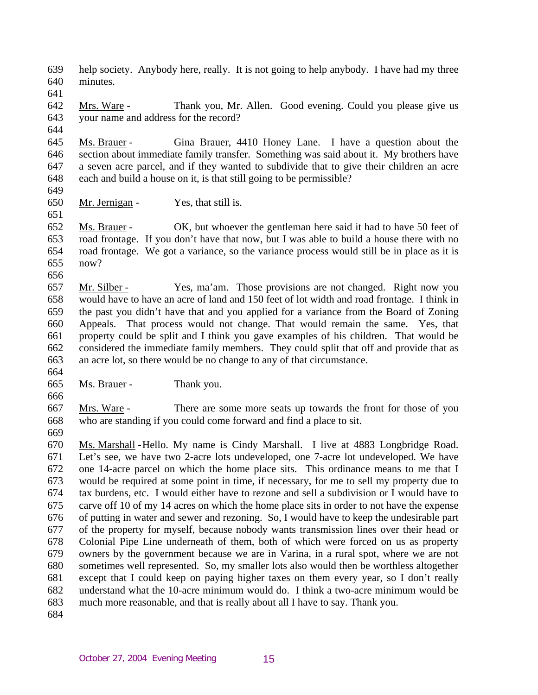639 640 help society. Anybody here, really. It is not going to help anybody. I have had my three minutes.

641

642 643 Mrs. Ware - Thank you, Mr. Allen. Good evening. Could you please give us your name and address for the record?

644

645 646 647 648 Ms. Brauer - Gina Brauer, 4410 Honey Lane. I have a question about the section about immediate family transfer. Something was said about it. My brothers have a seven acre parcel, and if they wanted to subdivide that to give their children an acre each and build a house on it, is that still going to be permissible?

649

651

650 Mr. Jernigan - Yes, that still is.

652 653 654 655 Ms. Brauer - OK, but whoever the gentleman here said it had to have 50 feet of road frontage. If you don't have that now, but I was able to build a house there with no road frontage. We got a variance, so the variance process would still be in place as it is now?

656

657 658 659 660 661 662 663 Mr. Silber - Yes, ma'am. Those provisions are not changed. Right now you would have to have an acre of land and 150 feet of lot width and road frontage. I think in the past you didn't have that and you applied for a variance from the Board of Zoning Appeals. That process would not change. That would remain the same. Yes, that property could be split and I think you gave examples of his children. That would be considered the immediate family members. They could split that off and provide that as an acre lot, so there would be no change to any of that circumstance.

664

665 Ms. Brauer - Thank you.

666

667 668 Mrs. Ware - There are some more seats up towards the front for those of you who are standing if you could come forward and find a place to sit.

669

670 671 672 673 674 675 676 677 678 679 680 681 682 683 Ms. Marshall - Hello. My name is Cindy Marshall. I live at 4883 Longbridge Road. Let's see, we have two 2-acre lots undeveloped, one 7-acre lot undeveloped. We have one 14-acre parcel on which the home place sits. This ordinance means to me that I would be required at some point in time, if necessary, for me to sell my property due to tax burdens, etc. I would either have to rezone and sell a subdivision or I would have to carve off 10 of my 14 acres on which the home place sits in order to not have the expense of putting in water and sewer and rezoning. So, I would have to keep the undesirable part of the property for myself, because nobody wants transmission lines over their head or Colonial Pipe Line underneath of them, both of which were forced on us as property owners by the government because we are in Varina, in a rural spot, where we are not sometimes well represented. So, my smaller lots also would then be worthless altogether except that I could keep on paying higher taxes on them every year, so I don't really understand what the 10-acre minimum would do. I think a two-acre minimum would be much more reasonable, and that is really about all I have to say. Thank you.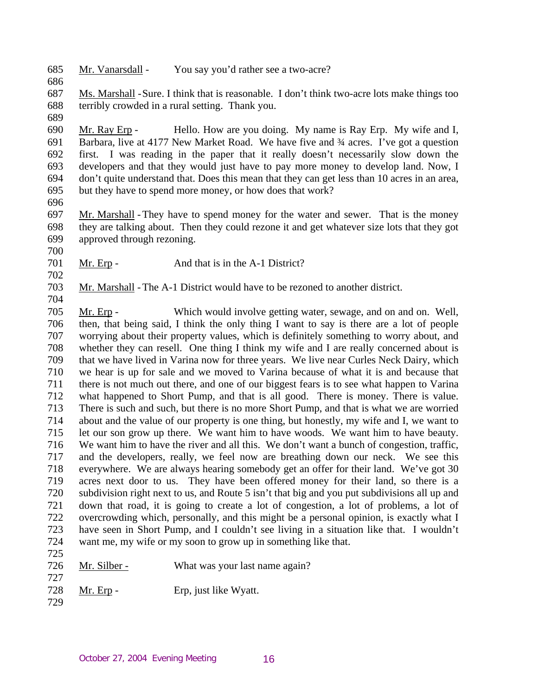- 685 Mr. Vanarsdall - You say you'd rather see a two-acre?
- 687 688 Ms. Marshall - Sure. I think that is reasonable. I don't think two-acre lots make things too terribly crowded in a rural setting. Thank you.
- 689

686

690 691 692 693 694 695 Mr. Ray Erp - Hello. How are you doing. My name is Ray Erp. My wife and I, Barbara, live at 4177 New Market Road. We have five and  $\frac{3}{4}$  acres. I've got a question first. I was reading in the paper that it really doesn't necessarily slow down the developers and that they would just have to pay more money to develop land. Now, I don't quite understand that. Does this mean that they can get less than 10 acres in an area, but they have to spend more money, or how does that work?

- 696
- 697 698 699 Mr. Marshall - They have to spend money for the water and sewer. That is the money they are talking about. Then they could rezone it and get whatever size lots that they got approved through rezoning.
- 700

704

701 702 Mr. Erp - And that is in the A-1 District?

703 Mr. Marshall - The A-1 District would have to be rezoned to another district.

705 706 707 708 709 710 711 712 713 714 715 716 717 718 719 720 721 722 723 724 725 Mr. Erp - Which would involve getting water, sewage, and on and on. Well, then, that being said, I think the only thing I want to say is there are a lot of people worrying about their property values, which is definitely something to worry about, and whether they can resell. One thing I think my wife and I are really concerned about is that we have lived in Varina now for three years. We live near Curles Neck Dairy, which we hear is up for sale and we moved to Varina because of what it is and because that there is not much out there, and one of our biggest fears is to see what happen to Varina what happened to Short Pump, and that is all good. There is money. There is value. There is such and such, but there is no more Short Pump, and that is what we are worried about and the value of our property is one thing, but honestly, my wife and I, we want to let our son grow up there. We want him to have woods. We want him to have beauty. We want him to have the river and all this. We don't want a bunch of congestion, traffic, and the developers, really, we feel now are breathing down our neck. We see this everywhere. We are always hearing somebody get an offer for their land. We've got 30 acres next door to us. They have been offered money for their land, so there is a subdivision right next to us, and Route 5 isn't that big and you put subdivisions all up and down that road, it is going to create a lot of congestion, a lot of problems, a lot of overcrowding which, personally, and this might be a personal opinion, is exactly what I have seen in Short Pump, and I couldn't see living in a situation like that. I wouldn't want me, my wife or my soon to grow up in something like that.

- 726 Mr. Silber - What was your last name again?
- 728 Mr. Erp - Erp, just like Wyatt.
- 729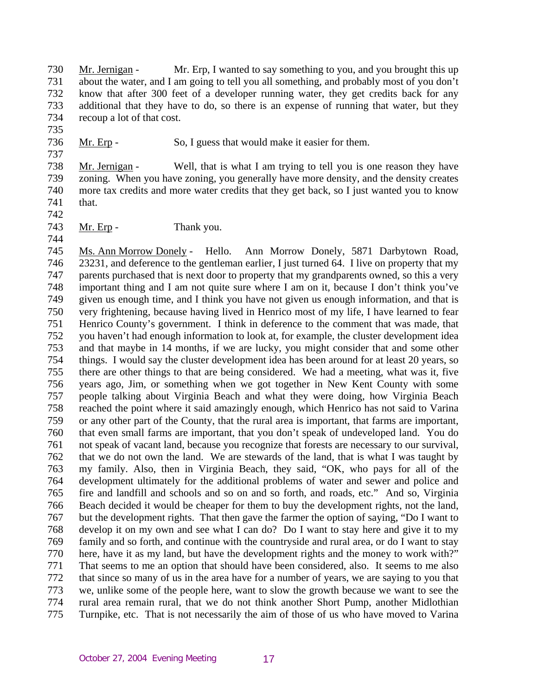730 731 732 733 734 Mr. Jernigan - Mr. Erp, I wanted to say something to you, and you brought this up about the water, and I am going to tell you all something, and probably most of you don't know that after 300 feet of a developer running water, they get credits back for any additional that they have to do, so there is an expense of running that water, but they recoup a lot of that cost.

736 Mr. Erp - So, I guess that would make it easier for them.

738 739 740 741 Mr. Jernigan - Well, that is what I am trying to tell you is one reason they have zoning. When you have zoning, you generally have more density, and the density creates more tax credits and more water credits that they get back, so I just wanted you to know that.

742

735

737

743 744 Mr. Erp - Thank you.

745 746 747 748 749 750 751 752 753 754 755 756 757 758 759 760 761 762 763 764 765 766 767 768 769 770 771 772 773 774 775 Ms. Ann Morrow Donely - Hello. Ann Morrow Donely, 5871 Darbytown Road, 23231, and deference to the gentleman earlier, I just turned 64. I live on property that my parents purchased that is next door to property that my grandparents owned, so this a very important thing and I am not quite sure where I am on it, because I don't think you've given us enough time, and I think you have not given us enough information, and that is very frightening, because having lived in Henrico most of my life, I have learned to fear Henrico County's government. I think in deference to the comment that was made, that you haven't had enough information to look at, for example, the cluster development idea and that maybe in 14 months, if we are lucky, you might consider that and some other things. I would say the cluster development idea has been around for at least 20 years, so there are other things to that are being considered. We had a meeting, what was it, five years ago, Jim, or something when we got together in New Kent County with some people talking about Virginia Beach and what they were doing, how Virginia Beach reached the point where it said amazingly enough, which Henrico has not said to Varina or any other part of the County, that the rural area is important, that farms are important, that even small farms are important, that you don't speak of undeveloped land. You do not speak of vacant land, because you recognize that forests are necessary to our survival, that we do not own the land. We are stewards of the land, that is what I was taught by my family. Also, then in Virginia Beach, they said, "OK, who pays for all of the development ultimately for the additional problems of water and sewer and police and fire and landfill and schools and so on and so forth, and roads, etc." And so, Virginia Beach decided it would be cheaper for them to buy the development rights, not the land, but the development rights. That then gave the farmer the option of saying, "Do I want to develop it on my own and see what I can do? Do I want to stay here and give it to my family and so forth, and continue with the countryside and rural area, or do I want to stay here, have it as my land, but have the development rights and the money to work with?" That seems to me an option that should have been considered, also. It seems to me also that since so many of us in the area have for a number of years, we are saying to you that we, unlike some of the people here, want to slow the growth because we want to see the rural area remain rural, that we do not think another Short Pump, another Midlothian Turnpike, etc. That is not necessarily the aim of those of us who have moved to Varina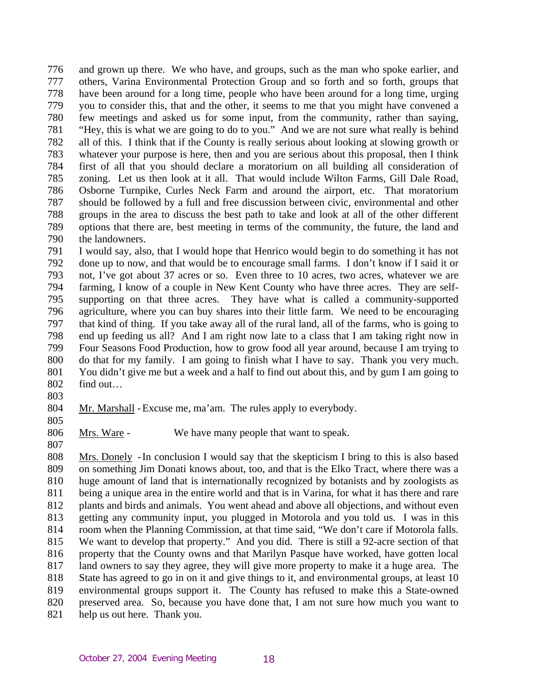776 777 778 779 780 781 782 783 784 785 786 787 788 789 790 and grown up there. We who have, and groups, such as the man who spoke earlier, and others, Varina Environmental Protection Group and so forth and so forth, groups that have been around for a long time, people who have been around for a long time, urging you to consider this, that and the other, it seems to me that you might have convened a few meetings and asked us for some input, from the community, rather than saying, "Hey, this is what we are going to do to you." And we are not sure what really is behind all of this. I think that if the County is really serious about looking at slowing growth or whatever your purpose is here, then and you are serious about this proposal, then I think first of all that you should declare a moratorium on all building all consideration of zoning. Let us then look at it all. That would include Wilton Farms, Gill Dale Road, Osborne Turnpike, Curles Neck Farm and around the airport, etc. That moratorium should be followed by a full and free discussion between civic, environmental and other groups in the area to discuss the best path to take and look at all of the other different options that there are, best meeting in terms of the community, the future, the land and the landowners.

791 792 793 794 795 796 797 798 799 800 801 802 I would say, also, that I would hope that Henrico would begin to do something it has not done up to now, and that would be to encourage small farms. I don't know if I said it or not, I've got about 37 acres or so. Even three to 10 acres, two acres, whatever we are farming, I know of a couple in New Kent County who have three acres. They are selfsupporting on that three acres. They have what is called a community-supported agriculture, where you can buy shares into their little farm. We need to be encouraging that kind of thing. If you take away all of the rural land, all of the farms, who is going to end up feeding us all? And I am right now late to a class that I am taking right now in Four Seasons Food Production, how to grow food all year around, because I am trying to do that for my family. I am going to finish what I have to say. Thank you very much. You didn't give me but a week and a half to find out about this, and by gum I am going to find out…

803

804 Mr. Marshall - Excuse me, ma'am. The rules apply to everybody.

805

807

806 Mrs. Ware - We have many people that want to speak.

808 809 810 811 812 813 814 815 816 817 818 819 820 821 Mrs. Donely - In conclusion I would say that the skepticism I bring to this is also based on something Jim Donati knows about, too, and that is the Elko Tract, where there was a huge amount of land that is internationally recognized by botanists and by zoologists as being a unique area in the entire world and that is in Varina, for what it has there and rare plants and birds and animals. You went ahead and above all objections, and without even getting any community input, you plugged in Motorola and you told us. I was in this room when the Planning Commission, at that time said, "We don't care if Motorola falls. We want to develop that property." And you did. There is still a 92-acre section of that property that the County owns and that Marilyn Pasque have worked, have gotten local land owners to say they agree, they will give more property to make it a huge area. The State has agreed to go in on it and give things to it, and environmental groups, at least 10 environmental groups support it. The County has refused to make this a State-owned preserved area. So, because you have done that, I am not sure how much you want to help us out here. Thank you.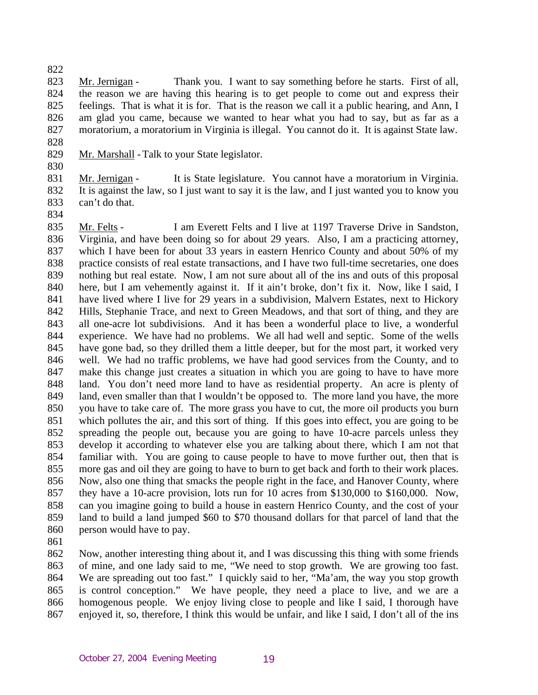822

823 824 825 826 827 828 Mr. Jernigan - Thank you. I want to say something before he starts. First of all, the reason we are having this hearing is to get people to come out and express their feelings. That is what it is for. That is the reason we call it a public hearing, and Ann, I am glad you came, because we wanted to hear what you had to say, but as far as a moratorium, a moratorium in Virginia is illegal. You cannot do it. It is against State law.

- 829 Mr. Marshall - Talk to your State legislator.
- 830

831 832 833 Mr. Jernigan - It is State legislature. You cannot have a moratorium in Virginia. It is against the law, so I just want to say it is the law, and I just wanted you to know you can't do that.

834

835 836 837 838 839 840 841 842 843 844 845 846 847 848 849 850 851 852 853 854 855 856 857 858 859 860 Mr. Felts - I am Everett Felts and I live at 1197 Traverse Drive in Sandston, Virginia, and have been doing so for about 29 years. Also, I am a practicing attorney, which I have been for about 33 years in eastern Henrico County and about 50% of my practice consists of real estate transactions, and I have two full-time secretaries, one does nothing but real estate. Now, I am not sure about all of the ins and outs of this proposal here, but I am vehemently against it. If it ain't broke, don't fix it. Now, like I said, I have lived where I live for 29 years in a subdivision, Malvern Estates, next to Hickory Hills, Stephanie Trace, and next to Green Meadows, and that sort of thing, and they are all one-acre lot subdivisions. And it has been a wonderful place to live, a wonderful experience. We have had no problems. We all had well and septic. Some of the wells have gone bad, so they drilled them a little deeper, but for the most part, it worked very well. We had no traffic problems, we have had good services from the County, and to make this change just creates a situation in which you are going to have to have more land. You don't need more land to have as residential property. An acre is plenty of land, even smaller than that I wouldn't be opposed to. The more land you have, the more you have to take care of. The more grass you have to cut, the more oil products you burn which pollutes the air, and this sort of thing. If this goes into effect, you are going to be spreading the people out, because you are going to have 10-acre parcels unless they develop it according to whatever else you are talking about there, which I am not that familiar with. You are going to cause people to have to move further out, then that is more gas and oil they are going to have to burn to get back and forth to their work places. Now, also one thing that smacks the people right in the face, and Hanover County, where they have a 10-acre provision, lots run for 10 acres from \$130,000 to \$160,000. Now, can you imagine going to build a house in eastern Henrico County, and the cost of your land to build a land jumped \$60 to \$70 thousand dollars for that parcel of land that the person would have to pay.

861

862 863 864 865 866 867 Now, another interesting thing about it, and I was discussing this thing with some friends of mine, and one lady said to me, "We need to stop growth. We are growing too fast. We are spreading out too fast." I quickly said to her, "Ma'am, the way you stop growth is control conception." We have people, they need a place to live, and we are a homogenous people. We enjoy living close to people and like I said, I thorough have enjoyed it, so, therefore, I think this would be unfair, and like I said, I don't all of the ins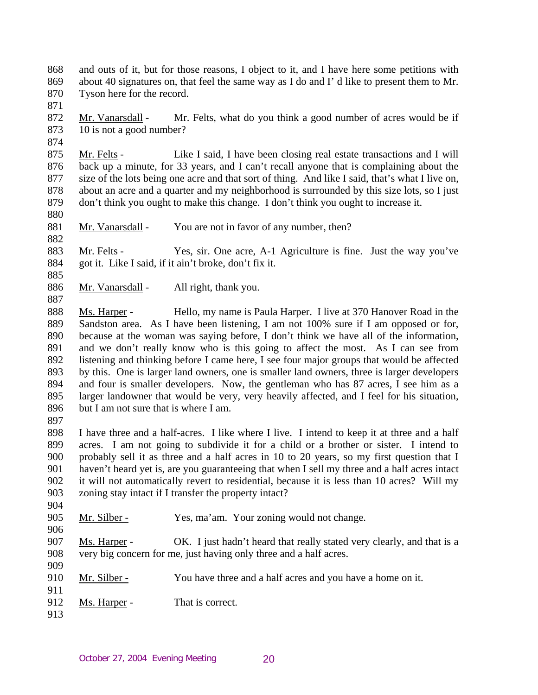- 868 869 870 and outs of it, but for those reasons, I object to it, and I have here some petitions with about 40 signatures on, that feel the same way as I do and I' d like to present them to Mr. Tyson here for the record.
- 871

874

872 873 Mr. Vanarsdall - Mr. Felts, what do you think a good number of acres would be if 10 is not a good number?

875 876 877 878 879 Mr. Felts - Like I said, I have been closing real estate transactions and I will back up a minute, for 33 years, and I can't recall anyone that is complaining about the size of the lots being one acre and that sort of thing. And like I said, that's what I live on, about an acre and a quarter and my neighborhood is surrounded by this size lots, so I just don't think you ought to make this change. I don't think you ought to increase it.

880

885

- 881
- 882 Mr. Vanarsdall - You are not in favor of any number, then?

883 884 Mr. Felts - Yes, sir. One acre, A-1 Agriculture is fine. Just the way you've got it. Like I said, if it ain't broke, don't fix it.

886 887 Mr. Vanarsdall - All right, thank you.

888 889 890 891 892 893 894 895 896 Ms. Harper - Hello, my name is Paula Harper. I live at 370 Hanover Road in the Sandston area. As I have been listening, I am not 100% sure if I am opposed or for, because at the woman was saying before, I don't think we have all of the information, and we don't really know who is this going to affect the most. As I can see from listening and thinking before I came here, I see four major groups that would be affected by this. One is larger land owners, one is smaller land owners, three is larger developers and four is smaller developers. Now, the gentleman who has 87 acres, I see him as a larger landowner that would be very, very heavily affected, and I feel for his situation, but I am not sure that is where I am.

897

898 899 900 901 902 903 904 I have three and a half-acres. I like where I live. I intend to keep it at three and a half acres. I am not going to subdivide it for a child or a brother or sister. I intend to probably sell it as three and a half acres in 10 to 20 years, so my first question that I haven't heard yet is, are you guaranteeing that when I sell my three and a half acres intact it will not automatically revert to residential, because it is less than 10 acres? Will my zoning stay intact if I transfer the property intact?

905 Mr. Silber - Yes, ma'am. Your zoning would not change.

907 908 909 Ms. Harper - OK. I just hadn't heard that really stated very clearly, and that is a very big concern for me, just having only three and a half acres.

- 910 Mr. Silber - You have three and a half acres and you have a home on it.
- 912 Ms. Harper - That is correct.
- 913

911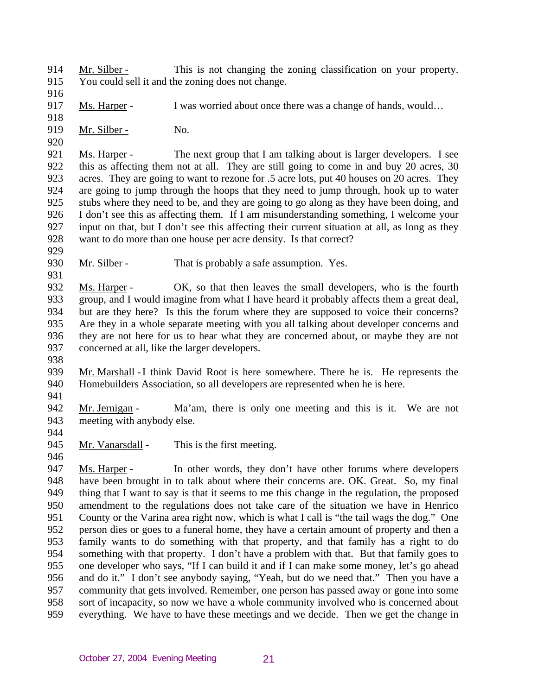914 915 Mr. Silber - This is not changing the zoning classification on your property. You could sell it and the zoning does not change.

916

917 Ms. Harper - I was worried about once there was a change of hands, would...

918 919

920

929

931

Mr. Silber - No.

921 922 923 924 925 926 927 928 Ms. Harper - The next group that I am talking about is larger developers. I see this as affecting them not at all. They are still going to come in and buy 20 acres, 30 acres. They are going to want to rezone for .5 acre lots, put 40 houses on 20 acres. They are going to jump through the hoops that they need to jump through, hook up to water stubs where they need to be, and they are going to go along as they have been doing, and I don't see this as affecting them. If I am misunderstanding something, I welcome your input on that, but I don't see this affecting their current situation at all, as long as they want to do more than one house per acre density. Is that correct?

930 Mr. Silber - That is probably a safe assumption. Yes.

932 933 934 935 936 937 Ms. Harper - OK, so that then leaves the small developers, who is the fourth group, and I would imagine from what I have heard it probably affects them a great deal, but are they here? Is this the forum where they are supposed to voice their concerns? Are they in a whole separate meeting with you all talking about developer concerns and they are not here for us to hear what they are concerned about, or maybe they are not concerned at all, like the larger developers.

938

939 940 Mr. Marshall - I think David Root is here somewhere. There he is. He represents the Homebuilders Association, so all developers are represented when he is here.

941

942 943 944 Mr. Jernigan - Ma'am, there is only one meeting and this is it. We are not meeting with anybody else.

945 946 Mr. Vanarsdall - This is the first meeting.

947 948 949 950 951 952 953 954 955 956 957 958 959 Ms. Harper - In other words, they don't have other forums where developers have been brought in to talk about where their concerns are. OK. Great. So, my final thing that I want to say is that it seems to me this change in the regulation, the proposed amendment to the regulations does not take care of the situation we have in Henrico County or the Varina area right now, which is what I call is "the tail wags the dog." One person dies or goes to a funeral home, they have a certain amount of property and then a family wants to do something with that property, and that family has a right to do something with that property. I don't have a problem with that. But that family goes to one developer who says, "If I can build it and if I can make some money, let's go ahead and do it." I don't see anybody saying, "Yeah, but do we need that." Then you have a community that gets involved. Remember, one person has passed away or gone into some sort of incapacity, so now we have a whole community involved who is concerned about everything. We have to have these meetings and we decide. Then we get the change in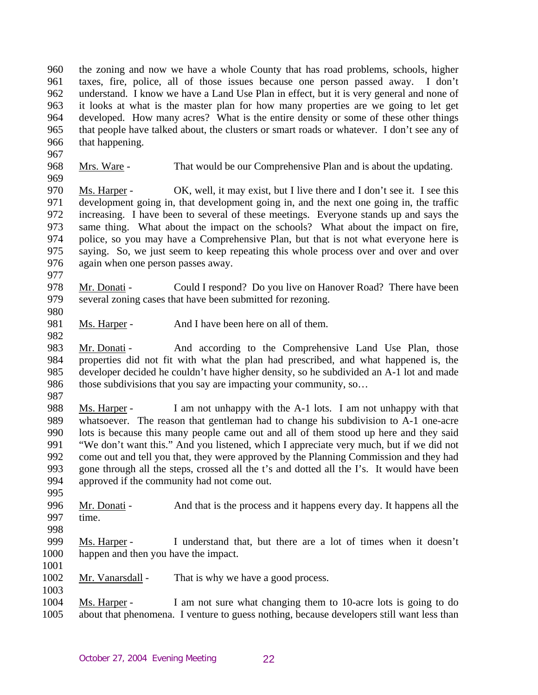960 961 962 963 964 965 966 the zoning and now we have a whole County that has road problems, schools, higher taxes, fire, police, all of those issues because one person passed away. I don't understand. I know we have a Land Use Plan in effect, but it is very general and none of it looks at what is the master plan for how many properties are we going to let get developed. How many acres? What is the entire density or some of these other things that people have talked about, the clusters or smart roads or whatever. I don't see any of that happening.

968 969 Mrs. Ware - That would be our Comprehensive Plan and is about the updating.

970 971 972 973 974 975 976 Ms. Harper - OK, well, it may exist, but I live there and I don't see it. I see this development going in, that development going in, and the next one going in, the traffic increasing. I have been to several of these meetings. Everyone stands up and says the same thing. What about the impact on the schools? What about the impact on fire, police, so you may have a Comprehensive Plan, but that is not what everyone here is saying. So, we just seem to keep repeating this whole process over and over and over again when one person passes away.

977

967

- 978 979 980 Mr. Donati - Could I respond? Do you live on Hanover Road? There have been several zoning cases that have been submitted for rezoning.
- 981 Ms. Harper - And I have been here on all of them.
- 983 984 985 986 Mr. Donati - And according to the Comprehensive Land Use Plan, those properties did not fit with what the plan had prescribed, and what happened is, the developer decided he couldn't have higher density, so he subdivided an A-1 lot and made those subdivisions that you say are impacting your community, so…
- 987

- 988 989 990 991 992 993 994 Ms. Harper - I am not unhappy with the A-1 lots. I am not unhappy with that whatsoever. The reason that gentleman had to change his subdivision to A-1 one-acre lots is because this many people came out and all of them stood up here and they said "We don't want this." And you listened, which I appreciate very much, but if we did not come out and tell you that, they were approved by the Planning Commission and they had gone through all the steps, crossed all the t's and dotted all the I's. It would have been approved if the community had not come out.
- 995
- 996 997 Mr. Donati - And that is the process and it happens every day. It happens all the time.
- 998
- 999 1000 Ms. Harper - I understand that, but there are a lot of times when it doesn't happen and then you have the impact.
- 1001
- 1002 1003 Mr. Vanarsdall - That is why we have a good process.
- 1004 1005 Ms. Harper - I am not sure what changing them to 10-acre lots is going to do about that phenomena. I venture to guess nothing, because developers still want less than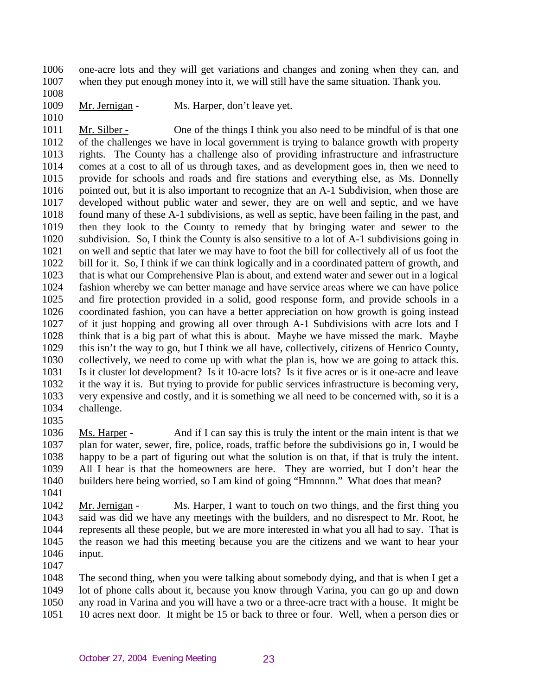1006 1007 one-acre lots and they will get variations and changes and zoning when they can, and when they put enough money into it, we will still have the same situation. Thank you.

1008

1010

1009 Mr. Jernigan - Ms. Harper, don't leave yet.

1011 1012 1013 1014 1015 1016 1017 1018 1019 1020 1021 1022 1023 1024 1025 1026 1027 1028 1029 1030 1031 1032 1033 1034 Mr. Silber - One of the things I think you also need to be mindful of is that one of the challenges we have in local government is trying to balance growth with property rights. The County has a challenge also of providing infrastructure and infrastructure comes at a cost to all of us through taxes, and as development goes in, then we need to provide for schools and roads and fire stations and everything else, as Ms. Donnelly pointed out, but it is also important to recognize that an A-1 Subdivision, when those are developed without public water and sewer, they are on well and septic, and we have found many of these A-1 subdivisions, as well as septic, have been failing in the past, and then they look to the County to remedy that by bringing water and sewer to the subdivision. So, I think the County is also sensitive to a lot of A-1 subdivisions going in on well and septic that later we may have to foot the bill for collectively all of us foot the bill for it. So, I think if we can think logically and in a coordinated pattern of growth, and that is what our Comprehensive Plan is about, and extend water and sewer out in a logical fashion whereby we can better manage and have service areas where we can have police and fire protection provided in a solid, good response form, and provide schools in a coordinated fashion, you can have a better appreciation on how growth is going instead of it just hopping and growing all over through A-1 Subdivisions with acre lots and I think that is a big part of what this is about. Maybe we have missed the mark. Maybe this isn't the way to go, but I think we all have, collectively, citizens of Henrico County, collectively, we need to come up with what the plan is, how we are going to attack this. Is it cluster lot development? Is it 10-acre lots? Is it five acres or is it one-acre and leave it the way it is. But trying to provide for public services infrastructure is becoming very, very expensive and costly, and it is something we all need to be concerned with, so it is a challenge.

1035

1036 1037 1038 1039 1040 Ms. Harper - And if I can say this is truly the intent or the main intent is that we plan for water, sewer, fire, police, roads, traffic before the subdivisions go in, I would be happy to be a part of figuring out what the solution is on that, if that is truly the intent. All I hear is that the homeowners are here. They are worried, but I don't hear the builders here being worried, so I am kind of going "Hmnnnn." What does that mean?

1041

1042 1043 1044 1045 1046 Mr. Jernigan - Ms. Harper, I want to touch on two things, and the first thing you said was did we have any meetings with the builders, and no disrespect to Mr. Root, he represents all these people, but we are more interested in what you all had to say. That is the reason we had this meeting because you are the citizens and we want to hear your input.

1047

1048 1049 1050 1051 The second thing, when you were talking about somebody dying, and that is when I get a lot of phone calls about it, because you know through Varina, you can go up and down any road in Varina and you will have a two or a three-acre tract with a house. It might be 10 acres next door. It might be 15 or back to three or four. Well, when a person dies or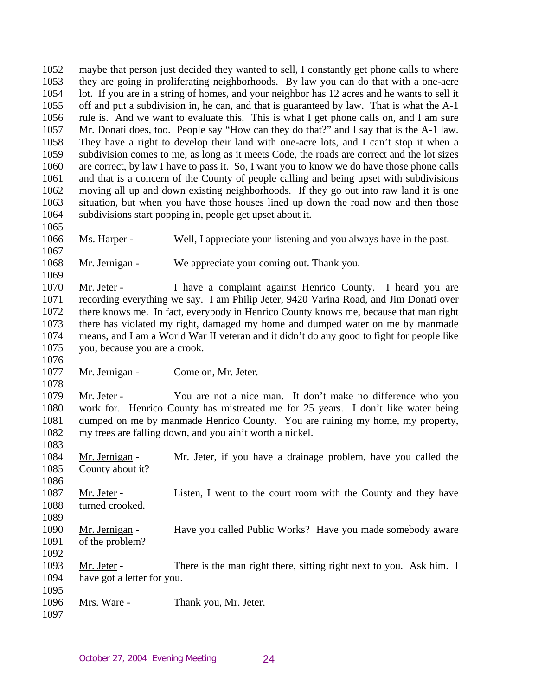1052 1053 1054 1055 1056 1057 1058 1059 1060 1061 1062 1063 1064 1065 maybe that person just decided they wanted to sell, I constantly get phone calls to where they are going in proliferating neighborhoods. By law you can do that with a one-acre lot. If you are in a string of homes, and your neighbor has 12 acres and he wants to sell it off and put a subdivision in, he can, and that is guaranteed by law. That is what the A-1 rule is. And we want to evaluate this. This is what I get phone calls on, and I am sure Mr. Donati does, too. People say "How can they do that?" and I say that is the A-1 law. They have a right to develop their land with one-acre lots, and I can't stop it when a subdivision comes to me, as long as it meets Code, the roads are correct and the lot sizes are correct, by law I have to pass it. So, I want you to know we do have those phone calls and that is a concern of the County of people calling and being upset with subdivisions moving all up and down existing neighborhoods. If they go out into raw land it is one situation, but when you have those houses lined up down the road now and then those subdivisions start popping in, people get upset about it.

1066 Ms. Harper - Well, I appreciate your listening and you always have in the past.

1068 Mr. Jernigan - We appreciate your coming out. Thank you.

1069

1076

1078

1067

1070 1071 1072 1073 1074 1075 Mr. Jeter - I have a complaint against Henrico County. I heard you are recording everything we say. I am Philip Jeter, 9420 Varina Road, and Jim Donati over there knows me. In fact, everybody in Henrico County knows me, because that man right there has violated my right, damaged my home and dumped water on me by manmade means, and I am a World War II veteran and it didn't do any good to fight for people like you, because you are a crook.

1077 Mr. Jernigan - Come on, Mr. Jeter.

1079 1080 1081 1082 1083 Mr. Jeter - You are not a nice man. It don't make no difference who you work for. Henrico County has mistreated me for 25 years. I don't like water being dumped on me by manmade Henrico County. You are ruining my home, my property, my trees are falling down, and you ain't worth a nickel.

1084 1085 Mr. Jernigan - Mr. Jeter, if you have a drainage problem, have you called the County about it?

1087 1088 Mr. Jeter - Listen, I went to the court room with the County and they have turned crooked.

1090 1091 Mr. Jernigan - Have you called Public Works? Have you made somebody aware of the problem?

1092

1086

1089

1093 1094 1095 Mr. Jeter - There is the man right there, sitting right next to you. Ask him. I have got a letter for you.

- 1096 Mrs. Ware - Thank you, Mr. Jeter.
- 1097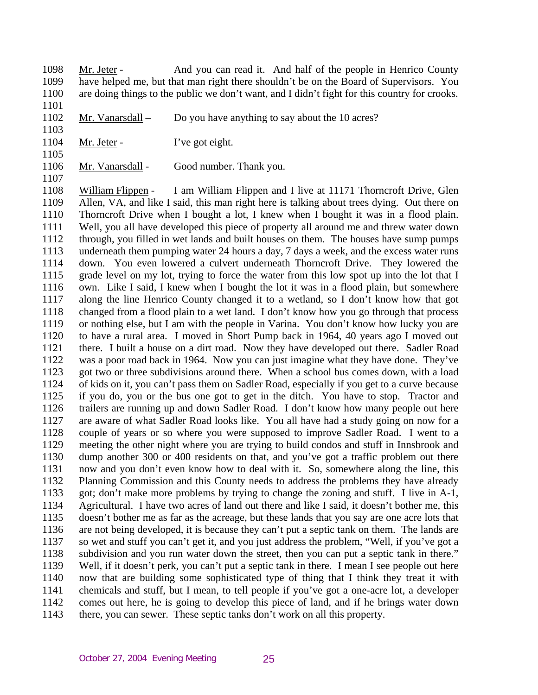1098 1099 1100 Mr. Jeter - And you can read it. And half of the people in Henrico County have helped me, but that man right there shouldn't be on the Board of Supervisors. You are doing things to the public we don't want, and I didn't fight for this country for crooks.

- 1102 Mr. Vanarsdall – Do you have anything to say about the 10 acres?
- 1103 1104

1105

1107

1101

- Mr. Jeter I've got eight.
- 1106 Mr. Vanarsdall - Good number. Thank you.

1108 1109 1110 1111 1112 1113 1114 1115 1116 1117 1118 1119 1120 1121 1122 1123 1124 1125 1126 1127 1128 1129 1130 1131 1132 1133 1134 1135 1136 1137 1138 1139 1140 1141 1142 1143 William Flippen - I am William Flippen and I live at 11171 Thorncroft Drive, Glen Allen, VA, and like I said, this man right here is talking about trees dying. Out there on Thorncroft Drive when I bought a lot, I knew when I bought it was in a flood plain. Well, you all have developed this piece of property all around me and threw water down through, you filled in wet lands and built houses on them. The houses have sump pumps underneath them pumping water 24 hours a day, 7 days a week, and the excess water runs down. You even lowered a culvert underneath Thorncroft Drive. They lowered the grade level on my lot, trying to force the water from this low spot up into the lot that I own. Like I said, I knew when I bought the lot it was in a flood plain, but somewhere along the line Henrico County changed it to a wetland, so I don't know how that got changed from a flood plain to a wet land. I don't know how you go through that process or nothing else, but I am with the people in Varina. You don't know how lucky you are to have a rural area. I moved in Short Pump back in 1964, 40 years ago I moved out there. I built a house on a dirt road. Now they have developed out there. Sadler Road was a poor road back in 1964. Now you can just imagine what they have done. They've got two or three subdivisions around there. When a school bus comes down, with a load of kids on it, you can't pass them on Sadler Road, especially if you get to a curve because if you do, you or the bus one got to get in the ditch. You have to stop. Tractor and trailers are running up and down Sadler Road. I don't know how many people out here are aware of what Sadler Road looks like. You all have had a study going on now for a couple of years or so where you were supposed to improve Sadler Road. I went to a meeting the other night where you are trying to build condos and stuff in Innsbrook and dump another 300 or 400 residents on that, and you've got a traffic problem out there now and you don't even know how to deal with it. So, somewhere along the line, this Planning Commission and this County needs to address the problems they have already got; don't make more problems by trying to change the zoning and stuff. I live in A-1, Agricultural. I have two acres of land out there and like I said, it doesn't bother me, this doesn't bother me as far as the acreage, but these lands that you say are one acre lots that are not being developed, it is because they can't put a septic tank on them. The lands are so wet and stuff you can't get it, and you just address the problem, "Well, if you've got a subdivision and you run water down the street, then you can put a septic tank in there." Well, if it doesn't perk, you can't put a septic tank in there. I mean I see people out here now that are building some sophisticated type of thing that I think they treat it with chemicals and stuff, but I mean, to tell people if you've got a one-acre lot, a developer comes out here, he is going to develop this piece of land, and if he brings water down there, you can sewer. These septic tanks don't work on all this property.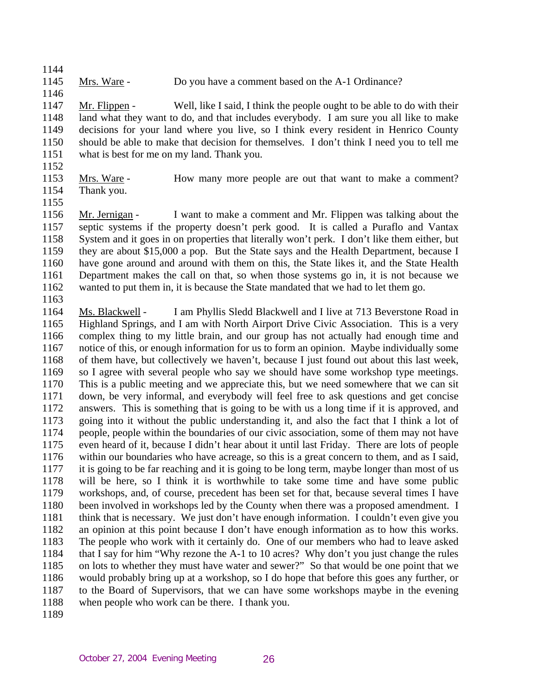1145 Mrs. Ware - Do you have a comment based on the A-1 Ordinance?

1147 1148 1149 1150 1151 Mr. Flippen - Well, like I said, I think the people ought to be able to do with their land what they want to do, and that includes everybody. I am sure you all like to make decisions for your land where you live, so I think every resident in Henrico County should be able to make that decision for themselves. I don't think I need you to tell me what is best for me on my land. Thank you.

1152

1144

1146

- 1153 Mrs. Ware - How many more people are out that want to make a comment? Thank you.
- 1154 1155

1156 1157 1158 1159 1160 1161 1162 Mr. Jernigan - I want to make a comment and Mr. Flippen was talking about the septic systems if the property doesn't perk good. It is called a Puraflo and Vantax System and it goes in on properties that literally won't perk. I don't like them either, but they are about \$15,000 a pop. But the State says and the Health Department, because I have gone around and around with them on this, the State likes it, and the State Health Department makes the call on that, so when those systems go in, it is not because we wanted to put them in, it is because the State mandated that we had to let them go.

1163

1164 1165 1166 1167 1168 1169 1170 1171 1172 1173 1174 1175 1176 1177 1178 1179 1180 1181 1182 1183 1184 1185 1186 1187 1188 Ms. Blackwell - I am Phyllis Sledd Blackwell and I live at 713 Beverstone Road in Highland Springs, and I am with North Airport Drive Civic Association. This is a very complex thing to my little brain, and our group has not actually had enough time and notice of this, or enough information for us to form an opinion. Maybe individually some of them have, but collectively we haven't, because I just found out about this last week, so I agree with several people who say we should have some workshop type meetings. This is a public meeting and we appreciate this, but we need somewhere that we can sit down, be very informal, and everybody will feel free to ask questions and get concise answers. This is something that is going to be with us a long time if it is approved, and going into it without the public understanding it, and also the fact that I think a lot of people, people within the boundaries of our civic association, some of them may not have even heard of it, because I didn't hear about it until last Friday. There are lots of people within our boundaries who have acreage, so this is a great concern to them, and as I said, it is going to be far reaching and it is going to be long term, maybe longer than most of us will be here, so I think it is worthwhile to take some time and have some public workshops, and, of course, precedent has been set for that, because several times I have been involved in workshops led by the County when there was a proposed amendment. I think that is necessary. We just don't have enough information. I couldn't even give you an opinion at this point because I don't have enough information as to how this works. The people who work with it certainly do. One of our members who had to leave asked that I say for him "Why rezone the A-1 to 10 acres? Why don't you just change the rules on lots to whether they must have water and sewer?" So that would be one point that we would probably bring up at a workshop, so I do hope that before this goes any further, or to the Board of Supervisors, that we can have some workshops maybe in the evening when people who work can be there. I thank you.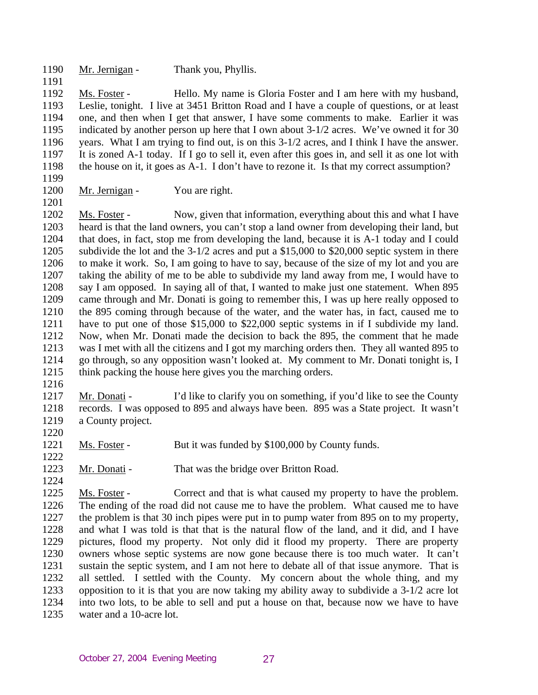1190 Mr. Jernigan - Thank you, Phyllis.

1192 1193 1194 1195 1196 1197 1198 Ms. Foster - Hello. My name is Gloria Foster and I am here with my husband, Leslie, tonight. I live at 3451 Britton Road and I have a couple of questions, or at least one, and then when I get that answer, I have some comments to make. Earlier it was indicated by another person up here that I own about 3-1/2 acres. We've owned it for 30 years. What I am trying to find out, is on this 3-1/2 acres, and I think I have the answer. It is zoned A-1 today. If I go to sell it, even after this goes in, and sell it as one lot with the house on it, it goes as A-1. I don't have to rezone it. Is that my correct assumption?

1199 1200

1201

1191

Mr. Jernigan - You are right.

1202 1203 1204 1205 1206 1207 1208 1209 1210 1211 1212 1213 1214 1215 Ms. Foster - Now, given that information, everything about this and what I have heard is that the land owners, you can't stop a land owner from developing their land, but that does, in fact, stop me from developing the land, because it is A-1 today and I could subdivide the lot and the 3-1/2 acres and put a \$15,000 to \$20,000 septic system in there to make it work. So, I am going to have to say, because of the size of my lot and you are taking the ability of me to be able to subdivide my land away from me, I would have to say I am opposed. In saying all of that, I wanted to make just one statement. When 895 came through and Mr. Donati is going to remember this, I was up here really opposed to the 895 coming through because of the water, and the water has, in fact, caused me to have to put one of those \$15,000 to \$22,000 septic systems in if I subdivide my land. Now, when Mr. Donati made the decision to back the 895, the comment that he made was I met with all the citizens and I got my marching orders then. They all wanted 895 to go through, so any opposition wasn't looked at. My comment to Mr. Donati tonight is, I think packing the house here gives you the marching orders.

1216

1217 1218 1219 Mr. Donati - I'd like to clarify you on something, if you'd like to see the County records. I was opposed to 895 and always have been. 895 was a State project. It wasn't a County project.

1221 Ms. Foster - But it was funded by \$100,000 by County funds.

1222 1223

1224

1220

Mr. Donati - That was the bridge over Britton Road.

1225 1226 1227 1228 1229 1230 1231 1232 1233 1234 1235 Ms. Foster - Correct and that is what caused my property to have the problem. The ending of the road did not cause me to have the problem. What caused me to have the problem is that 30 inch pipes were put in to pump water from 895 on to my property, and what I was told is that that is the natural flow of the land, and it did, and I have pictures, flood my property. Not only did it flood my property. There are property owners whose septic systems are now gone because there is too much water. It can't sustain the septic system, and I am not here to debate all of that issue anymore. That is all settled. I settled with the County. My concern about the whole thing, and my opposition to it is that you are now taking my ability away to subdivide a 3-1/2 acre lot into two lots, to be able to sell and put a house on that, because now we have to have water and a 10-acre lot.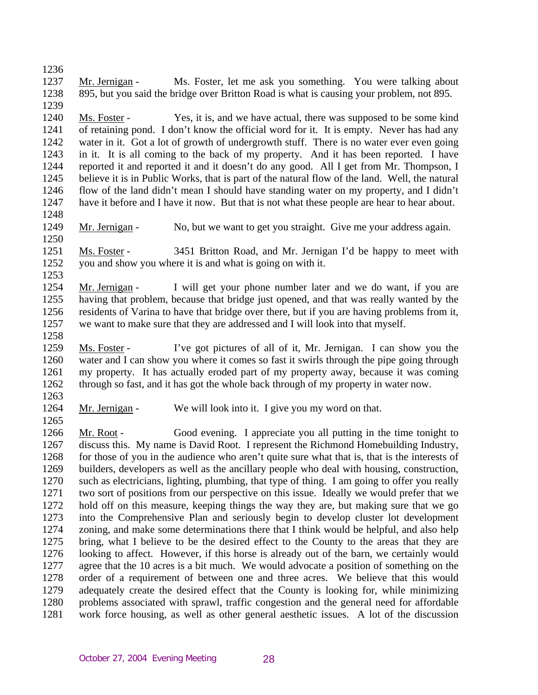1236 1237 1238 1239 Mr. Jernigan - Ms. Foster, let me ask you something. You were talking about 895, but you said the bridge over Britton Road is what is causing your problem, not 895. 1240 1241 1242 1243 Ms. Foster - Yes, it is, and we have actual, there was supposed to be some kind of retaining pond. I don't know the official word for it. It is empty. Never has had any water in it. Got a lot of growth of undergrowth stuff. There is no water ever even going in it. It is all coming to the back of my property. And it has been reported. I have

1244 1245 1246 1247 1248 reported it and reported it and it doesn't do any good. All I get from Mr. Thompson, I believe it is in Public Works, that is part of the natural flow of the land. Well, the natural flow of the land didn't mean I should have standing water on my property, and I didn't have it before and I have it now. But that is not what these people are hear to hear about.

1249 1250 Mr. Jernigan - No, but we want to get you straight. Give me your address again.

1251 1252 Ms. Foster - 3451 Britton Road, and Mr. Jernigan I'd be happy to meet with you and show you where it is and what is going on with it.

1254 1255 1256 1257 Mr. Jernigan - I will get your phone number later and we do want, if you are having that problem, because that bridge just opened, and that was really wanted by the residents of Varina to have that bridge over there, but if you are having problems from it, we want to make sure that they are addressed and I will look into that myself.

1258 1259 1260 1261 1262 Ms. Foster - I've got pictures of all of it, Mr. Jernigan. I can show you the water and I can show you where it comes so fast it swirls through the pipe going through my property. It has actually eroded part of my property away, because it was coming through so fast, and it has got the whole back through of my property in water now.

1263 1264

1265

1253

Mr. Jernigan - We will look into it. I give you my word on that.

1266 1267 1268 1269 1270 1271 1272 1273 1274 1275 1276 1277 1278 1279 1280 1281 Mr. Root - Good evening. I appreciate you all putting in the time tonight to discuss this. My name is David Root. I represent the Richmond Homebuilding Industry, for those of you in the audience who aren't quite sure what that is, that is the interests of builders, developers as well as the ancillary people who deal with housing, construction, such as electricians, lighting, plumbing, that type of thing. I am going to offer you really two sort of positions from our perspective on this issue. Ideally we would prefer that we hold off on this measure, keeping things the way they are, but making sure that we go into the Comprehensive Plan and seriously begin to develop cluster lot development zoning, and make some determinations there that I think would be helpful, and also help bring, what I believe to be the desired effect to the County to the areas that they are looking to affect. However, if this horse is already out of the barn, we certainly would agree that the 10 acres is a bit much. We would advocate a position of something on the order of a requirement of between one and three acres. We believe that this would adequately create the desired effect that the County is looking for, while minimizing problems associated with sprawl, traffic congestion and the general need for affordable work force housing, as well as other general aesthetic issues. A lot of the discussion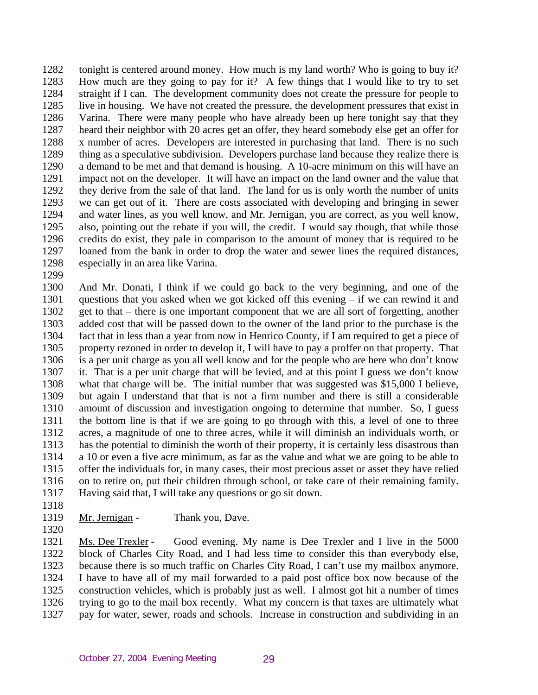1282 1283 1284 1285 1286 1287 1288 1289 1290 1291 1292 1293 1294 1295 1296 1297 1298 tonight is centered around money. How much is my land worth? Who is going to buy it? How much are they going to pay for it? A few things that I would like to try to set straight if I can. The development community does not create the pressure for people to live in housing. We have not created the pressure, the development pressures that exist in Varina. There were many people who have already been up here tonight say that they heard their neighbor with 20 acres get an offer, they heard somebody else get an offer for x number of acres. Developers are interested in purchasing that land. There is no such thing as a speculative subdivision. Developers purchase land because they realize there is a demand to be met and that demand is housing. A 10-acre minimum on this will have an impact not on the developer. It will have an impact on the land owner and the value that they derive from the sale of that land. The land for us is only worth the number of units we can get out of it. There are costs associated with developing and bringing in sewer and water lines, as you well know, and Mr. Jernigan, you are correct, as you well know, also, pointing out the rebate if you will, the credit. I would say though, that while those credits do exist, they pale in comparison to the amount of money that is required to be loaned from the bank in order to drop the water and sewer lines the required distances, especially in an area like Varina.

- 1300 1301 1302 1303 1304 1305 1306 1307 1308 1309 1310 1311 1312 1313 1314 1315 1316 1317 And Mr. Donati, I think if we could go back to the very beginning, and one of the questions that you asked when we got kicked off this evening – if we can rewind it and get to that – there is one important component that we are all sort of forgetting, another added cost that will be passed down to the owner of the land prior to the purchase is the fact that in less than a year from now in Henrico County, if I am required to get a piece of property rezoned in order to develop it, I will have to pay a proffer on that property. That is a per unit charge as you all well know and for the people who are here who don't know it. That is a per unit charge that will be levied, and at this point I guess we don't know what that charge will be. The initial number that was suggested was \$15,000 I believe, but again I understand that that is not a firm number and there is still a considerable amount of discussion and investigation ongoing to determine that number. So, I guess the bottom line is that if we are going to go through with this, a level of one to three acres, a magnitude of one to three acres, while it will diminish an individuals worth, or has the potential to diminish the worth of their property, it is certainly less disastrous than a 10 or even a five acre minimum, as far as the value and what we are going to be able to offer the individuals for, in many cases, their most precious asset or asset they have relied on to retire on, put their children through school, or take care of their remaining family. Having said that, I will take any questions or go sit down.
- 1318

1320

1299

1319 Mr. Jernigan - Thank you, Dave.

1321 1322 1323 1324 1325 1326 1327 Ms. Dee Trexler - Good evening. My name is Dee Trexler and I live in the 5000 block of Charles City Road, and I had less time to consider this than everybody else, because there is so much traffic on Charles City Road, I can't use my mailbox anymore. I have to have all of my mail forwarded to a paid post office box now because of the construction vehicles, which is probably just as well. I almost got hit a number of times trying to go to the mail box recently. What my concern is that taxes are ultimately what pay for water, sewer, roads and schools. Increase in construction and subdividing in an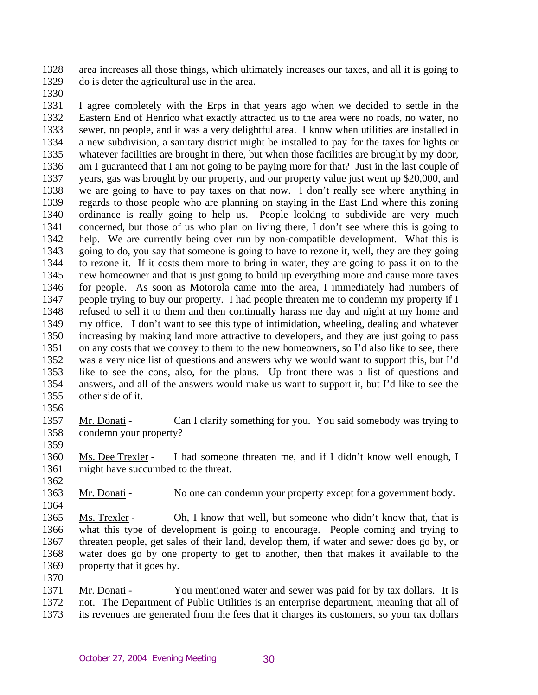1328 1329 area increases all those things, which ultimately increases our taxes, and all it is going to do is deter the agricultural use in the area.

1330

1331 1332 1333 1334 1335 1336 1337 1338 1339 1340 1341 1342 1343 1344 1345 1346 1347 1348 1349 1350 1351 1352 1353 1354 1355 I agree completely with the Erps in that years ago when we decided to settle in the Eastern End of Henrico what exactly attracted us to the area were no roads, no water, no sewer, no people, and it was a very delightful area. I know when utilities are installed in a new subdivision, a sanitary district might be installed to pay for the taxes for lights or whatever facilities are brought in there, but when those facilities are brought by my door, am I guaranteed that I am not going to be paying more for that? Just in the last couple of years, gas was brought by our property, and our property value just went up \$20,000, and we are going to have to pay taxes on that now. I don't really see where anything in regards to those people who are planning on staying in the East End where this zoning ordinance is really going to help us. People looking to subdivide are very much concerned, but those of us who plan on living there, I don't see where this is going to help. We are currently being over run by non-compatible development. What this is going to do, you say that someone is going to have to rezone it, well, they are they going to rezone it. If it costs them more to bring in water, they are going to pass it on to the new homeowner and that is just going to build up everything more and cause more taxes for people. As soon as Motorola came into the area, I immediately had numbers of people trying to buy our property. I had people threaten me to condemn my property if I refused to sell it to them and then continually harass me day and night at my home and my office. I don't want to see this type of intimidation, wheeling, dealing and whatever increasing by making land more attractive to developers, and they are just going to pass on any costs that we convey to them to the new homeowners, so I'd also like to see, there was a very nice list of questions and answers why we would want to support this, but I'd like to see the cons, also, for the plans. Up front there was a list of questions and answers, and all of the answers would make us want to support it, but I'd like to see the other side of it.

1356

1357 1358 1359 Mr. Donati - Can I clarify something for you. You said somebody was trying to condemn your property?

1360 1361 Ms. Dee Trexler - I had someone threaten me, and if I didn't know well enough, I might have succumbed to the threat.

1362

1364

1363 Mr. Donati - No one can condemn your property except for a government body.

1365 1366 1367 1368 1369 Ms. Trexler - Oh, I know that well, but someone who didn't know that, that is what this type of development is going to encourage. People coming and trying to threaten people, get sales of their land, develop them, if water and sewer does go by, or water does go by one property to get to another, then that makes it available to the property that it goes by.

1370

1371 1372 1373 Mr. Donati - You mentioned water and sewer was paid for by tax dollars. It is not. The Department of Public Utilities is an enterprise department, meaning that all of its revenues are generated from the fees that it charges its customers, so your tax dollars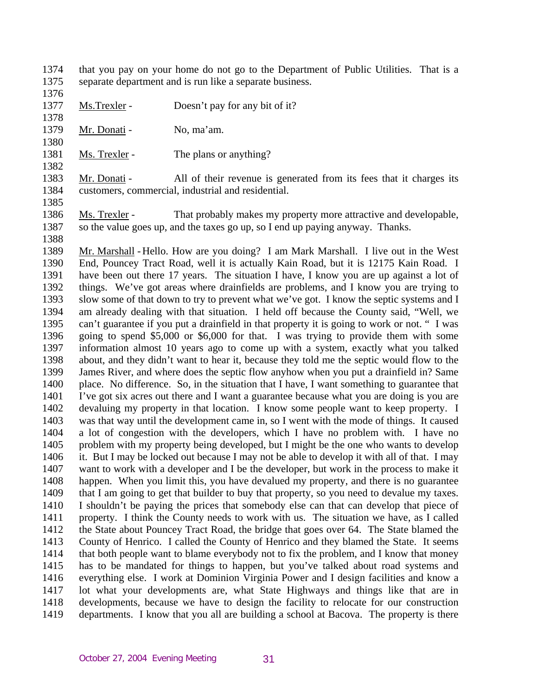- 1374 1375 that you pay on your home do not go to the Department of Public Utilities. That is a separate department and is run like a separate business.
- 1376

1378

1380

1382

- 1377 Ms. Trexler - Doesn't pay for any bit of it?
- 1379 Mr. Donati - No, ma'am.
- 1381 Ms. Trexler - The plans or anything?
- 1383 1384 Mr. Donati - All of their revenue is generated from its fees that it charges its customers, commercial, industrial and residential.
- 1385

1388

1386 1387 Ms. Trexler - That probably makes my property more attractive and developable, so the value goes up, and the taxes go up, so I end up paying anyway. Thanks.

1389 1390 1391 1392 1393 1394 1395 1396 1397 1398 1399 1400 1401 1402 1403 1404 1405 1406 1407 1408 1409 1410 1411 1412 1413 1414 1415 1416 1417 1418 1419 Mr. Marshall - Hello. How are you doing? I am Mark Marshall. I live out in the West End, Pouncey Tract Road, well it is actually Kain Road, but it is 12175 Kain Road. I have been out there 17 years. The situation I have, I know you are up against a lot of things. We've got areas where drainfields are problems, and I know you are trying to slow some of that down to try to prevent what we've got. I know the septic systems and I am already dealing with that situation. I held off because the County said, "Well, we can't guarantee if you put a drainfield in that property it is going to work or not. " I was going to spend \$5,000 or \$6,000 for that. I was trying to provide them with some information almost 10 years ago to come up with a system, exactly what you talked about, and they didn't want to hear it, because they told me the septic would flow to the James River, and where does the septic flow anyhow when you put a drainfield in? Same place. No difference. So, in the situation that I have, I want something to guarantee that I've got six acres out there and I want a guarantee because what you are doing is you are devaluing my property in that location. I know some people want to keep property. I was that way until the development came in, so I went with the mode of things. It caused a lot of congestion with the developers, which I have no problem with. I have no problem with my property being developed, but I might be the one who wants to develop it. But I may be locked out because I may not be able to develop it with all of that. I may want to work with a developer and I be the developer, but work in the process to make it happen. When you limit this, you have devalued my property, and there is no guarantee that I am going to get that builder to buy that property, so you need to devalue my taxes. I shouldn't be paying the prices that somebody else can that can develop that piece of property. I think the County needs to work with us. The situation we have, as I called the State about Pouncey Tract Road, the bridge that goes over 64. The State blamed the County of Henrico. I called the County of Henrico and they blamed the State. It seems that both people want to blame everybody not to fix the problem, and I know that money has to be mandated for things to happen, but you've talked about road systems and everything else. I work at Dominion Virginia Power and I design facilities and know a lot what your developments are, what State Highways and things like that are in developments, because we have to design the facility to relocate for our construction departments. I know that you all are building a school at Bacova. The property is there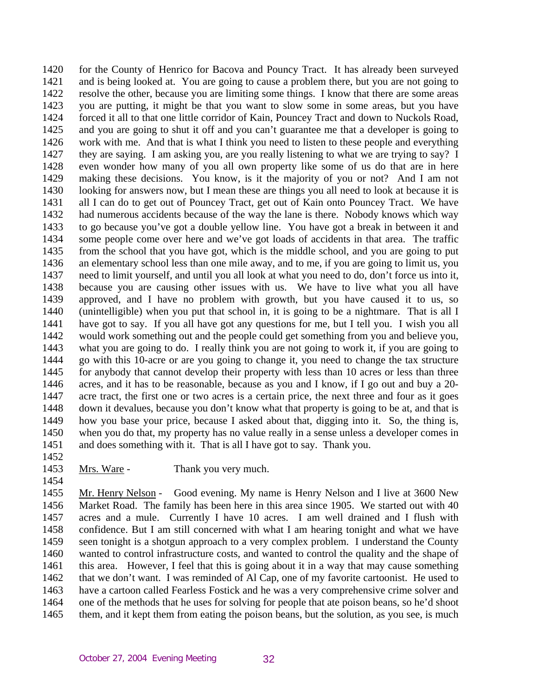1420 1421 1422 1423 1424 1425 1426 1427 1428 1429 1430 1431 1432 1433 1434 1435 1436 1437 1438 1439 1440 1441 1442 1443 1444 1445 1446 1447 1448 1449 1450 1451 for the County of Henrico for Bacova and Pouncy Tract. It has already been surveyed and is being looked at. You are going to cause a problem there, but you are not going to resolve the other, because you are limiting some things. I know that there are some areas you are putting, it might be that you want to slow some in some areas, but you have forced it all to that one little corridor of Kain, Pouncey Tract and down to Nuckols Road, and you are going to shut it off and you can't guarantee me that a developer is going to work with me. And that is what I think you need to listen to these people and everything they are saying. I am asking you, are you really listening to what we are trying to say? I even wonder how many of you all own property like some of us do that are in here making these decisions. You know, is it the majority of you or not? And I am not looking for answers now, but I mean these are things you all need to look at because it is all I can do to get out of Pouncey Tract, get out of Kain onto Pouncey Tract. We have had numerous accidents because of the way the lane is there. Nobody knows which way to go because you've got a double yellow line. You have got a break in between it and some people come over here and we've got loads of accidents in that area. The traffic from the school that you have got, which is the middle school, and you are going to put an elementary school less than one mile away, and to me, if you are going to limit us, you need to limit yourself, and until you all look at what you need to do, don't force us into it, because you are causing other issues with us. We have to live what you all have approved, and I have no problem with growth, but you have caused it to us, so (unintelligible) when you put that school in, it is going to be a nightmare. That is all I have got to say. If you all have got any questions for me, but I tell you. I wish you all would work something out and the people could get something from you and believe you, what you are going to do. I really think you are not going to work it, if you are going to go with this 10-acre or are you going to change it, you need to change the tax structure for anybody that cannot develop their property with less than 10 acres or less than three acres, and it has to be reasonable, because as you and I know, if I go out and buy a 20 acre tract, the first one or two acres is a certain price, the next three and four as it goes down it devalues, because you don't know what that property is going to be at, and that is how you base your price, because I asked about that, digging into it. So, the thing is, when you do that, my property has no value really in a sense unless a developer comes in and does something with it. That is all I have got to say. Thank you.

1452

1454

1453 Mrs. Ware - Thank you very much.

1455 1456 1457 1458 Mr. Henry Nelson - Good evening. My name is Henry Nelson and I live at 3600 New

1459 1460 1461 1462 1463 1464 1465 Market Road. The family has been here in this area since 1905. We started out with 40 acres and a mule. Currently I have 10 acres. I am well drained and I flush with confidence. But I am still concerned with what I am hearing tonight and what we have seen tonight is a shotgun approach to a very complex problem. I understand the County wanted to control infrastructure costs, and wanted to control the quality and the shape of this area. However, I feel that this is going about it in a way that may cause something that we don't want. I was reminded of Al Cap, one of my favorite cartoonist. He used to have a cartoon called Fearless Fostick and he was a very comprehensive crime solver and one of the methods that he uses for solving for people that ate poison beans, so he'd shoot them, and it kept them from eating the poison beans, but the solution, as you see, is much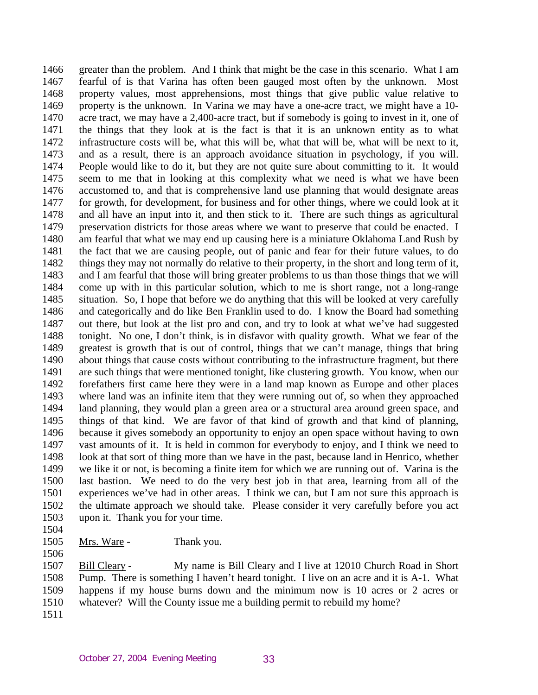1466 1467 1468 1469 1470 1471 1472 1473 1474 1475 1476 1477 1478 1479 1480 1481 1482 1483 1484 1485 1486 1487 1488 1489 1490 1491 1492 1493 1494 1495 1496 1497 1498 1499 1500 1501 1502 1503 greater than the problem. And I think that might be the case in this scenario. What I am fearful of is that Varina has often been gauged most often by the unknown. Most property values, most apprehensions, most things that give public value relative to property is the unknown. In Varina we may have a one-acre tract, we might have a 10 acre tract, we may have a 2,400-acre tract, but if somebody is going to invest in it, one of the things that they look at is the fact is that it is an unknown entity as to what infrastructure costs will be, what this will be, what that will be, what will be next to it, and as a result, there is an approach avoidance situation in psychology, if you will. People would like to do it, but they are not quite sure about committing to it. It would seem to me that in looking at this complexity what we need is what we have been accustomed to, and that is comprehensive land use planning that would designate areas for growth, for development, for business and for other things, where we could look at it and all have an input into it, and then stick to it. There are such things as agricultural preservation districts for those areas where we want to preserve that could be enacted. I am fearful that what we may end up causing here is a miniature Oklahoma Land Rush by the fact that we are causing people, out of panic and fear for their future values, to do things they may not normally do relative to their property, in the short and long term of it, and I am fearful that those will bring greater problems to us than those things that we will come up with in this particular solution, which to me is short range, not a long-range situation. So, I hope that before we do anything that this will be looked at very carefully and categorically and do like Ben Franklin used to do. I know the Board had something out there, but look at the list pro and con, and try to look at what we've had suggested tonight. No one, I don't think, is in disfavor with quality growth. What we fear of the greatest is growth that is out of control, things that we can't manage, things that bring about things that cause costs without contributing to the infrastructure fragment, but there are such things that were mentioned tonight, like clustering growth. You know, when our forefathers first came here they were in a land map known as Europe and other places where land was an infinite item that they were running out of, so when they approached land planning, they would plan a green area or a structural area around green space, and things of that kind. We are favor of that kind of growth and that kind of planning, because it gives somebody an opportunity to enjoy an open space without having to own vast amounts of it. It is held in common for everybody to enjoy, and I think we need to look at that sort of thing more than we have in the past, because land in Henrico, whether we like it or not, is becoming a finite item for which we are running out of. Varina is the last bastion. We need to do the very best job in that area, learning from all of the experiences we've had in other areas. I think we can, but I am not sure this approach is the ultimate approach we should take. Please consider it very carefully before you act upon it. Thank you for your time.

- 1504
- 1505 Mrs. Ware - Thank you.

1506

1507 1508 1509 1510 Bill Cleary - My name is Bill Cleary and I live at 12010 Church Road in Short Pump. There is something I haven't heard tonight. I live on an acre and it is A-1. What happens if my house burns down and the minimum now is 10 acres or 2 acres or whatever? Will the County issue me a building permit to rebuild my home?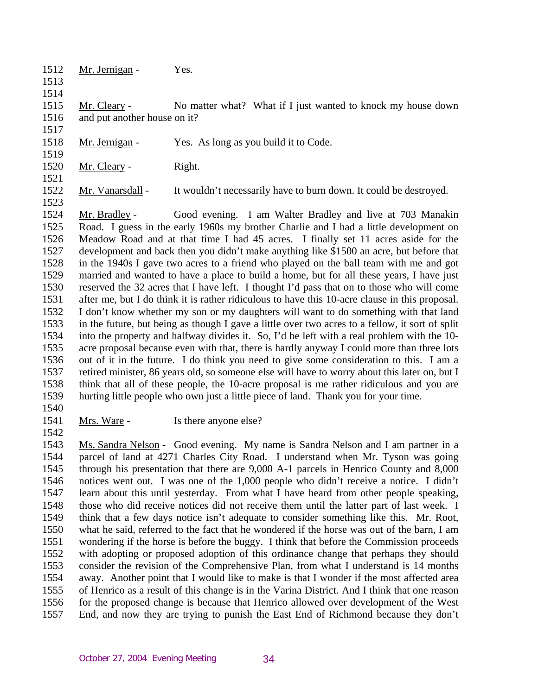- 1512 1513
- 1514

1517

1519

1521

1523

- Mr. Jernigan Yes.
- 1515 1516 Mr. Cleary - No matter what? What if I just wanted to knock my house down and put another house on it?
- 1518 Mr. Jernigan - Yes. As long as you build it to Code.
- 1520 Mr. Cleary - Right.
- 1522 Mr. Vanarsdall - It wouldn't necessarily have to burn down. It could be destroyed.

1524 1525 1526 1527 1528 1529 1530 1531 1532 1533 1534 1535 1536 1537 1538 1539 Mr. Bradley - Good evening. I am Walter Bradley and live at 703 Manakin Road. I guess in the early 1960s my brother Charlie and I had a little development on Meadow Road and at that time I had 45 acres. I finally set 11 acres aside for the development and back then you didn't make anything like \$1500 an acre, but before that in the 1940s I gave two acres to a friend who played on the ball team with me and got married and wanted to have a place to build a home, but for all these years, I have just reserved the 32 acres that I have left. I thought I'd pass that on to those who will come after me, but I do think it is rather ridiculous to have this 10-acre clause in this proposal. I don't know whether my son or my daughters will want to do something with that land in the future, but being as though I gave a little over two acres to a fellow, it sort of split into the property and halfway divides it. So, I'd be left with a real problem with the 10 acre proposal because even with that, there is hardly anyway I could more than three lots out of it in the future. I do think you need to give some consideration to this. I am a retired minister, 86 years old, so someone else will have to worry about this later on, but I think that all of these people, the 10-acre proposal is me rather ridiculous and you are hurting little people who own just a little piece of land. Thank you for your time.

- 1540 1541
- Mrs. Ware Is there anyone else?
- 1542

1543 1544 1545 1546 1547 1548 1549 1550 1551 1552 1553 1554 1555 1556 1557 Ms. Sandra Nelson - Good evening. My name is Sandra Nelson and I am partner in a parcel of land at 4271 Charles City Road. I understand when Mr. Tyson was going through his presentation that there are 9,000 A-1 parcels in Henrico County and 8,000 notices went out. I was one of the 1,000 people who didn't receive a notice. I didn't learn about this until yesterday. From what I have heard from other people speaking, those who did receive notices did not receive them until the latter part of last week. I think that a few days notice isn't adequate to consider something like this. Mr. Root, what he said, referred to the fact that he wondered if the horse was out of the barn, I am wondering if the horse is before the buggy. I think that before the Commission proceeds with adopting or proposed adoption of this ordinance change that perhaps they should consider the revision of the Comprehensive Plan, from what I understand is 14 months away. Another point that I would like to make is that I wonder if the most affected area of Henrico as a result of this change is in the Varina District. And I think that one reason for the proposed change is because that Henrico allowed over development of the West End, and now they are trying to punish the East End of Richmond because they don't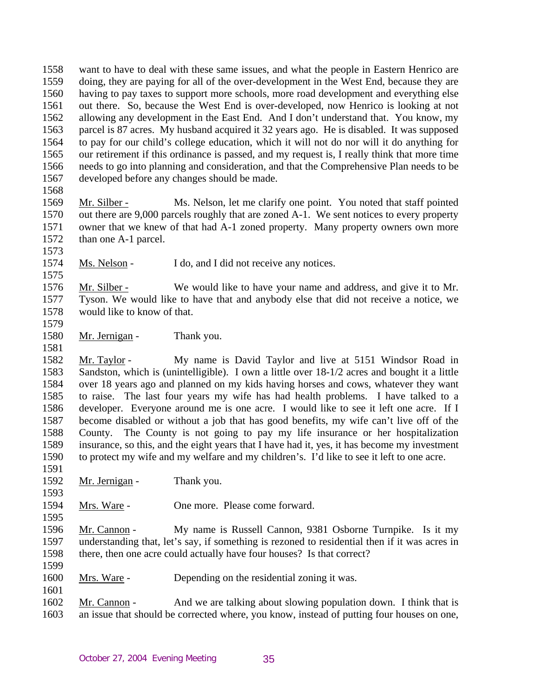1558 1559 1560 1561 1562 1563 1564 1565 1566 1567 want to have to deal with these same issues, and what the people in Eastern Henrico are doing, they are paying for all of the over-development in the West End, because they are having to pay taxes to support more schools, more road development and everything else out there. So, because the West End is over-developed, now Henrico is looking at not allowing any development in the East End. And I don't understand that. You know, my parcel is 87 acres. My husband acquired it 32 years ago. He is disabled. It was supposed to pay for our child's college education, which it will not do nor will it do anything for our retirement if this ordinance is passed, and my request is, I really think that more time needs to go into planning and consideration, and that the Comprehensive Plan needs to be developed before any changes should be made.

1568

## 1569 1570 1571 1572 1573 Mr. Silber - Ms. Nelson, let me clarify one point. You noted that staff pointed out there are 9,000 parcels roughly that are zoned A-1. We sent notices to every property owner that we knew of that had A-1 zoned property. Many property owners own more than one A-1 parcel.

1574 Ms. Nelson - I do, and I did not receive any notices.

1576 1577 1578 Mr. Silber - We would like to have your name and address, and give it to Mr. Tyson. We would like to have that and anybody else that did not receive a notice, we would like to know of that.

1579

1575

Mr. Jernigan - Thank you.

1580 1581

1582 1583 1584 1585 1586 1587 1588 1589 1590 Mr. Taylor - My name is David Taylor and live at 5151 Windsor Road in Sandston, which is (unintelligible). I own a little over 18-1/2 acres and bought it a little over 18 years ago and planned on my kids having horses and cows, whatever they want to raise. The last four years my wife has had health problems. I have talked to a developer. Everyone around me is one acre. I would like to see it left one acre. If I become disabled or without a job that has good benefits, my wife can't live off of the County. The County is not going to pay my life insurance or her hospitalization insurance, so this, and the eight years that I have had it, yes, it has become my investment to protect my wife and my welfare and my children's. I'd like to see it left to one acre.

1591 1592

1593

1595

1599

1601

Mr. Jernigan - Thank you.

1594 Mrs. Ware - One more. Please come forward.

1596 1597 1598 Mr. Cannon - My name is Russell Cannon, 9381 Osborne Turnpike. Is it my understanding that, let's say, if something is rezoned to residential then if it was acres in there, then one acre could actually have four houses? Is that correct?

1600 Mrs. Ware - Depending on the residential zoning it was.

1602 1603 Mr. Cannon - And we are talking about slowing population down. I think that is an issue that should be corrected where, you know, instead of putting four houses on one,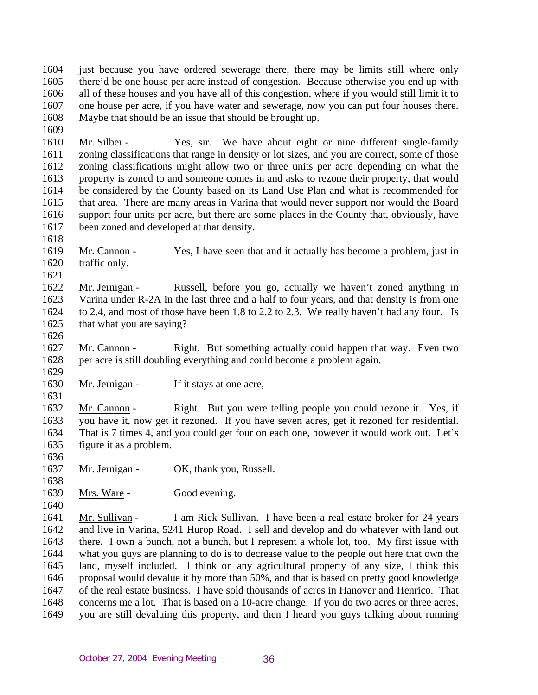1604 1605 1606 1607 1608 just because you have ordered sewerage there, there may be limits still where only there'd be one house per acre instead of congestion. Because otherwise you end up with all of these houses and you have all of this congestion, where if you would still limit it to one house per acre, if you have water and sewerage, now you can put four houses there. Maybe that should be an issue that should be brought up.

1610 1611 1612 1613 1614 1615 1616 1617 Mr. Silber - Yes, sir. We have about eight or nine different single-family zoning classifications that range in density or lot sizes, and you are correct, some of those zoning classifications might allow two or three units per acre depending on what the property is zoned to and someone comes in and asks to rezone their property, that would be considered by the County based on its Land Use Plan and what is recommended for that area. There are many areas in Varina that would never support nor would the Board support four units per acre, but there are some places in the County that, obviously, have been zoned and developed at that density.

1618

1609

1619 1620 Mr. Cannon - Yes, I have seen that and it actually has become a problem, just in traffic only.

1621

1622 1623 1624 1625 Mr. Jernigan - Russell, before you go, actually we haven't zoned anything in Varina under R-2A in the last three and a half to four years, and that density is from one to 2.4, and most of those have been 1.8 to 2.2 to 2.3. We really haven't had any four. Is that what you are saying?

1626

1629

1631

1627 1628 Mr. Cannon - Right. But something actually could happen that way. Even two per acre is still doubling everything and could become a problem again.

1630 Mr. Jernigan - If it stays at one acre,

1632 1633 1634 1635 Mr. Cannon - Right. But you were telling people you could rezone it. Yes, if you have it, now get it rezoned. If you have seven acres, get it rezoned for residential. That is 7 times 4, and you could get four on each one, however it would work out. Let's figure it as a problem.

1636

1637 Mr. Jernigan - OK, thank you, Russell.

1638 1639

1640

Mrs. Ware - Good evening.

1641 1642 1643 1644 1645 1646 1647 1648 1649 Mr. Sullivan - I am Rick Sullivan. I have been a real estate broker for 24 years and live in Varina, 5241 Hurop Road. I sell and develop and do whatever with land out there. I own a bunch, not a bunch, but I represent a whole lot, too. My first issue with what you guys are planning to do is to decrease value to the people out here that own the land, myself included. I think on any agricultural property of any size, I think this proposal would devalue it by more than 50%, and that is based on pretty good knowledge of the real estate business. I have sold thousands of acres in Hanover and Henrico. That concerns me a lot. That is based on a 10-acre change. If you do two acres or three acres, you are still devaluing this property, and then I heard you guys talking about running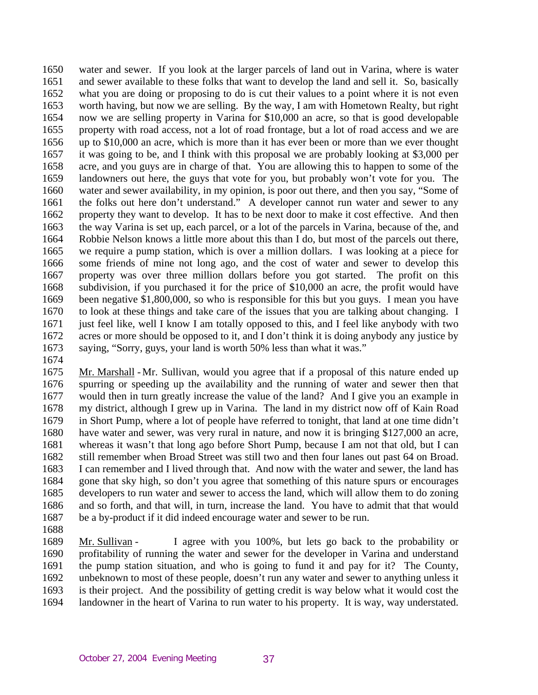1650 1651 1652 1653 1654 1655 1656 1657 1658 1659 1660 1661 1662 1663 1664 1665 1666 1667 1668 1669 1670 1671 1672 1673 water and sewer. If you look at the larger parcels of land out in Varina, where is water and sewer available to these folks that want to develop the land and sell it. So, basically what you are doing or proposing to do is cut their values to a point where it is not even worth having, but now we are selling. By the way, I am with Hometown Realty, but right now we are selling property in Varina for \$10,000 an acre, so that is good developable property with road access, not a lot of road frontage, but a lot of road access and we are up to \$10,000 an acre, which is more than it has ever been or more than we ever thought it was going to be, and I think with this proposal we are probably looking at \$3,000 per acre, and you guys are in charge of that. You are allowing this to happen to some of the landowners out here, the guys that vote for you, but probably won't vote for you. The water and sewer availability, in my opinion, is poor out there, and then you say, "Some of the folks out here don't understand." A developer cannot run water and sewer to any property they want to develop. It has to be next door to make it cost effective. And then the way Varina is set up, each parcel, or a lot of the parcels in Varina, because of the, and Robbie Nelson knows a little more about this than I do, but most of the parcels out there, we require a pump station, which is over a million dollars. I was looking at a piece for some friends of mine not long ago, and the cost of water and sewer to develop this property was over three million dollars before you got started. The profit on this subdivision, if you purchased it for the price of \$10,000 an acre, the profit would have been negative \$1,800,000, so who is responsible for this but you guys. I mean you have to look at these things and take care of the issues that you are talking about changing. I just feel like, well I know I am totally opposed to this, and I feel like anybody with two acres or more should be opposed to it, and I don't think it is doing anybody any justice by saying, "Sorry, guys, your land is worth 50% less than what it was."

1674

1675 1676 1677 1678 1679 1680 1681 1682 1683 1684 1685 1686 1687 Mr. Marshall - Mr. Sullivan, would you agree that if a proposal of this nature ended up spurring or speeding up the availability and the running of water and sewer then that would then in turn greatly increase the value of the land? And I give you an example in my district, although I grew up in Varina. The land in my district now off of Kain Road in Short Pump, where a lot of people have referred to tonight, that land at one time didn't have water and sewer, was very rural in nature, and now it is bringing \$127,000 an acre, whereas it wasn't that long ago before Short Pump, because I am not that old, but I can still remember when Broad Street was still two and then four lanes out past 64 on Broad. I can remember and I lived through that. And now with the water and sewer, the land has gone that sky high, so don't you agree that something of this nature spurs or encourages developers to run water and sewer to access the land, which will allow them to do zoning and so forth, and that will, in turn, increase the land. You have to admit that that would be a by-product if it did indeed encourage water and sewer to be run.

1688

1689 1690 1691 1692 1693 1694 Mr. Sullivan - I agree with you 100%, but lets go back to the probability or profitability of running the water and sewer for the developer in Varina and understand the pump station situation, and who is going to fund it and pay for it? The County, unbeknown to most of these people, doesn't run any water and sewer to anything unless it is their project. And the possibility of getting credit is way below what it would cost the landowner in the heart of Varina to run water to his property. It is way, way understated.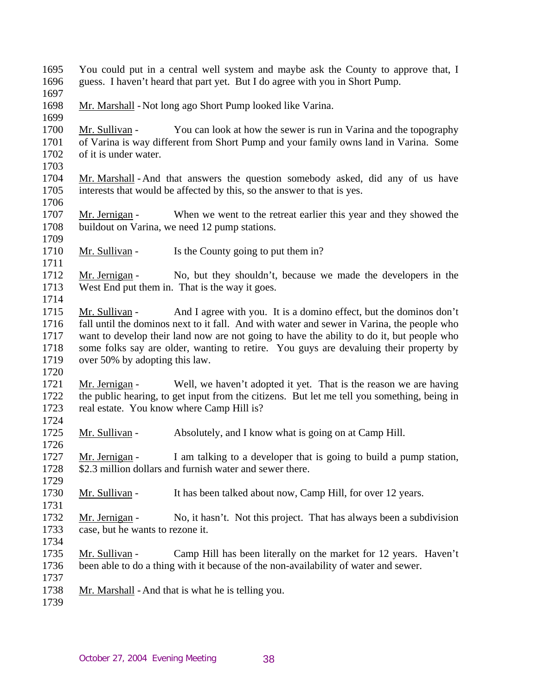1695 1696 You could put in a central well system and maybe ask the County to approve that, I guess. I haven't heard that part yet. But I do agree with you in Short Pump.

1697

1699

- 1698 Mr. Marshall - Not long ago Short Pump looked like Varina.
- 1700 1701 1702 Mr. Sullivan - You can look at how the sewer is run in Varina and the topography of Varina is way different from Short Pump and your family owns land in Varina. Some of it is under water.
- 1703

1709

1711

- 1704 1705 1706 Mr. Marshall - And that answers the question somebody asked, did any of us have interests that would be affected by this, so the answer to that is yes.
- 1707 1708 Mr. Jernigan - When we went to the retreat earlier this year and they showed the buildout on Varina, we need 12 pump stations.
- 1710 Mr. Sullivan - Is the County going to put them in?
- 1712 1713 1714 Mr. Jernigan - No, but they shouldn't, because we made the developers in the West End put them in. That is the way it goes.
- 1715 1716 1717 1718 1719 Mr. Sullivan - And I agree with you. It is a domino effect, but the dominos don't fall until the dominos next to it fall. And with water and sewer in Varina, the people who want to develop their land now are not going to have the ability to do it, but people who some folks say are older, wanting to retire. You guys are devaluing their property by over 50% by adopting this law.
- 1721 1722 1723 Mr. Jernigan - Well, we haven't adopted it yet. That is the reason we are having the public hearing, to get input from the citizens. But let me tell you something, being in real estate. You know where Camp Hill is?
- 1724

1726

1729

1731

- 1725 Mr. Sullivan - Absolutely, and I know what is going on at Camp Hill.
- 1727 1728 Mr. Jernigan - I am talking to a developer that is going to build a pump station, \$2.3 million dollars and furnish water and sewer there.
- 1730 Mr. Sullivan - It has been talked about now, Camp Hill, for over 12 years.
- 1732 1733 Mr. Jernigan - No, it hasn't. Not this project. That has always been a subdivision case, but he wants to rezone it.
- 1734
- 1735 1736 1737 Mr. Sullivan - Camp Hill has been literally on the market for 12 years. Haven't been able to do a thing with it because of the non-availability of water and sewer.
- 1738 Mr. Marshall - And that is what he is telling you.
- 1739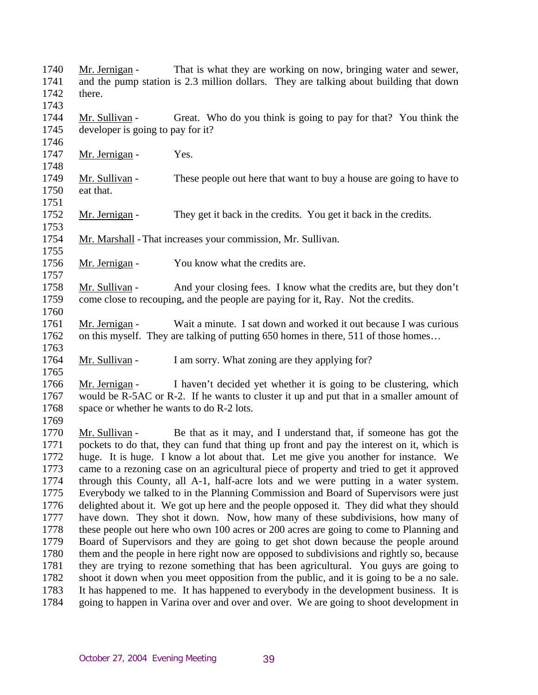| 1740<br>1741<br>1742                 | Mr. Jernigan -<br>there.                                                                                                                                                        | That is what they are working on now, bringing water and sewer,<br>and the pump station is 2.3 million dollars. They are talking about building that down                                                                                                                                                                                                                                                                                 |  |
|--------------------------------------|---------------------------------------------------------------------------------------------------------------------------------------------------------------------------------|-------------------------------------------------------------------------------------------------------------------------------------------------------------------------------------------------------------------------------------------------------------------------------------------------------------------------------------------------------------------------------------------------------------------------------------------|--|
| 1743                                 |                                                                                                                                                                                 |                                                                                                                                                                                                                                                                                                                                                                                                                                           |  |
| 1744<br>1745                         | Mr. Sullivan -<br>developer is going to pay for it?                                                                                                                             | Great. Who do you think is going to pay for that? You think the                                                                                                                                                                                                                                                                                                                                                                           |  |
| 1746<br>1747<br>1748                 | Mr. Jernigan -                                                                                                                                                                  | Yes.                                                                                                                                                                                                                                                                                                                                                                                                                                      |  |
| 1749<br>1750                         | Mr. Sullivan -<br>eat that.                                                                                                                                                     | These people out here that want to buy a house are going to have to                                                                                                                                                                                                                                                                                                                                                                       |  |
| 1751<br>1752<br>1753                 | Mr. Jernigan -                                                                                                                                                                  | They get it back in the credits. You get it back in the credits.                                                                                                                                                                                                                                                                                                                                                                          |  |
| 1754<br>1755                         |                                                                                                                                                                                 | Mr. Marshall - That increases your commission, Mr. Sullivan.                                                                                                                                                                                                                                                                                                                                                                              |  |
| 1756<br>1757                         | Mr. Jernigan -                                                                                                                                                                  | You know what the credits are.                                                                                                                                                                                                                                                                                                                                                                                                            |  |
| 1758<br>1759<br>1760                 | Mr. Sullivan -                                                                                                                                                                  | And your closing fees. I know what the credits are, but they don't<br>come close to recouping, and the people are paying for it, Ray. Not the credits.                                                                                                                                                                                                                                                                                    |  |
| 1761<br>1762<br>1763                 | Mr. Jernigan -                                                                                                                                                                  | Wait a minute. I sat down and worked it out because I was curious<br>on this myself. They are talking of putting 650 homes in there, 511 of those homes                                                                                                                                                                                                                                                                                   |  |
| 1764<br>1765                         | Mr. Sullivan -                                                                                                                                                                  | I am sorry. What zoning are they applying for?                                                                                                                                                                                                                                                                                                                                                                                            |  |
| 1766<br>1767<br>1768<br>1769         | Mr. Jernigan -<br>space or whether he wants to do R-2 lots.                                                                                                                     | I haven't decided yet whether it is going to be clustering, which<br>would be R-5AC or R-2. If he wants to cluster it up and put that in a smaller amount of                                                                                                                                                                                                                                                                              |  |
| 1770<br>1771<br>1772<br>1773<br>1774 | Mr. Sullivan -                                                                                                                                                                  | Be that as it may, and I understand that, if someone has got the<br>pockets to do that, they can fund that thing up front and pay the interest on it, which is<br>huge. It is huge. I know a lot about that. Let me give you another for instance. We<br>came to a rezoning case on an agricultural piece of property and tried to get it approved<br>through this County, all A-1, half-acre lots and we were putting in a water system. |  |
| 1775<br>1776                         | Everybody we talked to in the Planning Commission and Board of Supervisors were just<br>delighted about it. We got up here and the people opposed it. They did what they should |                                                                                                                                                                                                                                                                                                                                                                                                                                           |  |
| 1777<br>1778                         | have down. They shot it down. Now, how many of these subdivisions, how many of<br>these people out here who own 100 acres or 200 acres are going to come to Planning and        |                                                                                                                                                                                                                                                                                                                                                                                                                                           |  |
| 1779                                 | Board of Supervisors and they are going to get shot down because the people around                                                                                              |                                                                                                                                                                                                                                                                                                                                                                                                                                           |  |
| 1780                                 | them and the people in here right now are opposed to subdivisions and rightly so, because                                                                                       |                                                                                                                                                                                                                                                                                                                                                                                                                                           |  |
| 1781                                 | they are trying to rezone something that has been agricultural. You guys are going to                                                                                           |                                                                                                                                                                                                                                                                                                                                                                                                                                           |  |
| 1782                                 |                                                                                                                                                                                 | shoot it down when you meet opposition from the public, and it is going to be a no sale.                                                                                                                                                                                                                                                                                                                                                  |  |
| 1783<br>1784                         |                                                                                                                                                                                 | It has happened to me. It has happened to everybody in the development business. It is<br>going to happen in Varina over and over and over. We are going to shoot development in                                                                                                                                                                                                                                                          |  |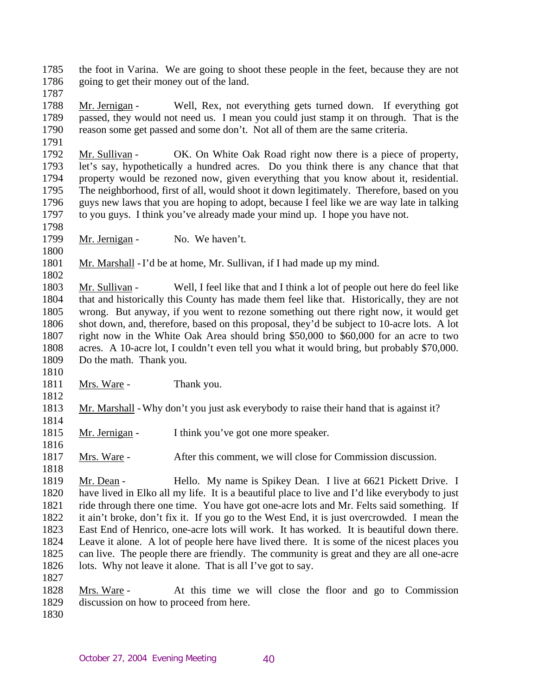1785 1786 the foot in Varina. We are going to shoot these people in the feet, because they are not going to get their money out of the land.

1787

1788 1789 1790 1791 Mr. Jernigan - Well, Rex, not everything gets turned down. If everything got passed, they would not need us. I mean you could just stamp it on through. That is the reason some get passed and some don't. Not all of them are the same criteria.

1792 1793 1794 1795 1796 1797 Mr. Sullivan - OK. On White Oak Road right now there is a piece of property, let's say, hypothetically a hundred acres. Do you think there is any chance that that property would be rezoned now, given everything that you know about it, residential. The neighborhood, first of all, would shoot it down legitimately. Therefore, based on you guys new laws that you are hoping to adopt, because I feel like we are way late in talking to you guys. I think you've already made your mind up. I hope you have not.

1798

1800

1810

1812

1814

1816

1799 Mr. Jernigan - No. We haven't.

1801 1802 Mr. Marshall - I'd be at home, Mr. Sullivan, if I had made up my mind.

1803 1804 1805 1806 1807 1808 1809 Mr. Sullivan - Well, I feel like that and I think a lot of people out here do feel like that and historically this County has made them feel like that. Historically, they are not wrong. But anyway, if you went to rezone something out there right now, it would get shot down, and, therefore, based on this proposal, they'd be subject to 10-acre lots. A lot right now in the White Oak Area should bring \$50,000 to \$60,000 for an acre to two acres. A 10-acre lot, I couldn't even tell you what it would bring, but probably \$70,000. Do the math. Thank you.

1811 Mrs. Ware - Thank you.

1813 Mr. Marshall - Why don't you just ask everybody to raise their hand that is against it?

1815 Mr. Jernigan - I think you've got one more speaker.

1817 Mrs. Ware - After this comment, we will close for Commission discussion.

1818 1819 1820 1821 1822 1823 1824 1825 1826 1827 Mr. Dean - Hello. My name is Spikey Dean. I live at 6621 Pickett Drive. I have lived in Elko all my life. It is a beautiful place to live and I'd like everybody to just ride through there one time. You have got one-acre lots and Mr. Felts said something. If it ain't broke, don't fix it. If you go to the West End, it is just overcrowded. I mean the East End of Henrico, one-acre lots will work. It has worked. It is beautiful down there. Leave it alone. A lot of people here have lived there. It is some of the nicest places you can live. The people there are friendly. The community is great and they are all one-acre lots. Why not leave it alone. That is all I've got to say.

- 1828 1829 Mrs. Ware - At this time we will close the floor and go to Commission discussion on how to proceed from here.
- 1830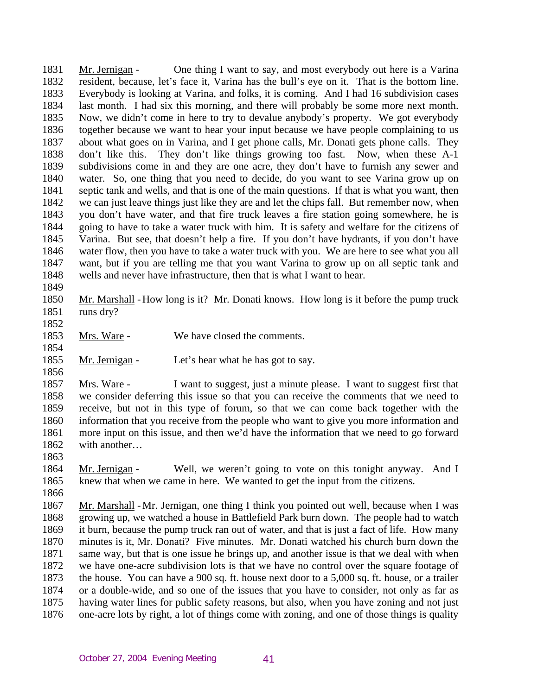1831 1832 1833 1834 1835 1836 1837 1838 1839 1840 1841 1842 1843 1844 1845 1846 1847 1848 Mr. Jernigan - One thing I want to say, and most everybody out here is a Varina resident, because, let's face it, Varina has the bull's eye on it. That is the bottom line. Everybody is looking at Varina, and folks, it is coming. And I had 16 subdivision cases last month. I had six this morning, and there will probably be some more next month. Now, we didn't come in here to try to devalue anybody's property. We got everybody together because we want to hear your input because we have people complaining to us about what goes on in Varina, and I get phone calls, Mr. Donati gets phone calls. They don't like this. They don't like things growing too fast. Now, when these A-1 subdivisions come in and they are one acre, they don't have to furnish any sewer and water. So, one thing that you need to decide, do you want to see Varina grow up on septic tank and wells, and that is one of the main questions. If that is what you want, then we can just leave things just like they are and let the chips fall. But remember now, when you don't have water, and that fire truck leaves a fire station going somewhere, he is going to have to take a water truck with him. It is safety and welfare for the citizens of Varina. But see, that doesn't help a fire. If you don't have hydrants, if you don't have water flow, then you have to take a water truck with you. We are here to see what you all want, but if you are telling me that you want Varina to grow up on all septic tank and wells and never have infrastructure, then that is what I want to hear.

- 1850 1851 Mr. Marshall - How long is it? Mr. Donati knows. How long is it before the pump truck runs dry?
- 1852

1856

1849

- 1853 Mrs. Ware - We have closed the comments.
- 1854 1855 Mr. Jernigan - Let's hear what he has got to say.
- 1857 1858 1859 1860 1861 1862 Mrs. Ware - I want to suggest, just a minute please. I want to suggest first that we consider deferring this issue so that you can receive the comments that we need to receive, but not in this type of forum, so that we can come back together with the information that you receive from the people who want to give you more information and more input on this issue, and then we'd have the information that we need to go forward with another…
- 1863
- 1864 1865 Mr. Jernigan - Well, we weren't going to vote on this tonight anyway. And I knew that when we came in here. We wanted to get the input from the citizens.
- 1866

1867 1868 1869 1870 1871 1872 1873 1874 1875 1876 Mr. Marshall - Mr. Jernigan, one thing I think you pointed out well, because when I was growing up, we watched a house in Battlefield Park burn down. The people had to watch it burn, because the pump truck ran out of water, and that is just a fact of life. How many minutes is it, Mr. Donati? Five minutes. Mr. Donati watched his church burn down the same way, but that is one issue he brings up, and another issue is that we deal with when we have one-acre subdivision lots is that we have no control over the square footage of the house. You can have a 900 sq. ft. house next door to a 5,000 sq. ft. house, or a trailer or a double-wide, and so one of the issues that you have to consider, not only as far as having water lines for public safety reasons, but also, when you have zoning and not just one-acre lots by right, a lot of things come with zoning, and one of those things is quality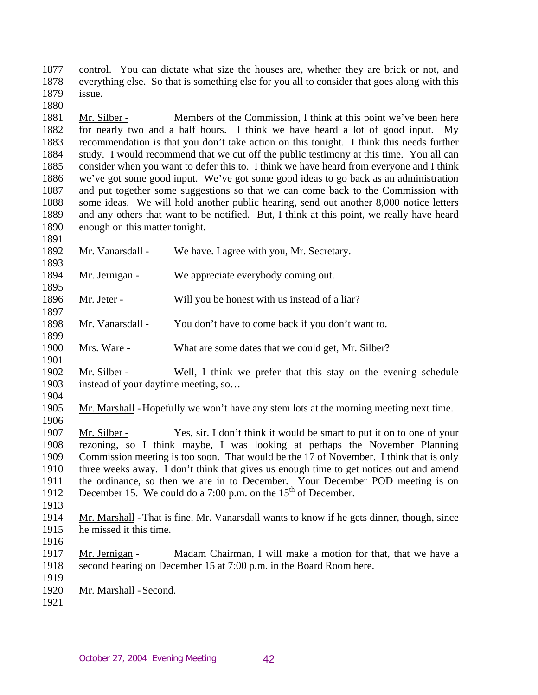1877 1878 1879 control. You can dictate what size the houses are, whether they are brick or not, and everything else. So that is something else for you all to consider that goes along with this issue.

1881 1882 1883 1884 1885 1886 1887 1888 1889 1890 Mr. Silber - Members of the Commission, I think at this point we've been here for nearly two and a half hours. I think we have heard a lot of good input. My recommendation is that you don't take action on this tonight. I think this needs further study. I would recommend that we cut off the public testimony at this time. You all can consider when you want to defer this to. I think we have heard from everyone and I think we've got some good input. We've got some good ideas to go back as an administration and put together some suggestions so that we can come back to the Commission with some ideas. We will hold another public hearing, send out another 8,000 notice letters and any others that want to be notified. But, I think at this point, we really have heard enough on this matter tonight.

1892 1893 Mr. Vanarsdall - We have. I agree with you, Mr. Secretary.

- 1894 1895 Mr. Jernigan - We appreciate everybody coming out.
- 1896 Mr. Jeter - Will you be honest with us instead of a liar?
- 1898 Mr. Vanarsdall - You don't have to come back if you don't want to.
- 1900 Mrs. Ware - What are some dates that we could get, Mr. Silber?
- 1902 1903 1904 Mr. Silber - Well, I think we prefer that this stay on the evening schedule instead of your daytime meeting, so…
- 1905 Mr. Marshall - Hopefully we won't have any stem lots at the morning meeting next time.
- 1906 Mr. Silber - Yes, sir. I don't think it would be smart to put it on to one of your rezoning, so I think maybe, I was looking at perhaps the November Planning Commission meeting is too soon. That would be the 17 of November. I think that is only three weeks away. I don't think that gives us enough time to get notices out and amend the ordinance, so then we are in to December. Your December POD meeting is on December 15. We could do a 7:00 p.m. on the  $15<sup>th</sup>$  of December. 1907 1908 1909 1910 1911 1912
- 1913

1880

1891

1897

1899

- 1914 1915 Mr. Marshall - That is fine. Mr. Vanarsdall wants to know if he gets dinner, though, since he missed it this time.
- 1916
- 1917 1918 1919 Mr. Jernigan - Madam Chairman, I will make a motion for that, that we have a second hearing on December 15 at 7:00 p.m. in the Board Room here.
- 1920 Mr. Marshall - Second.
- 1921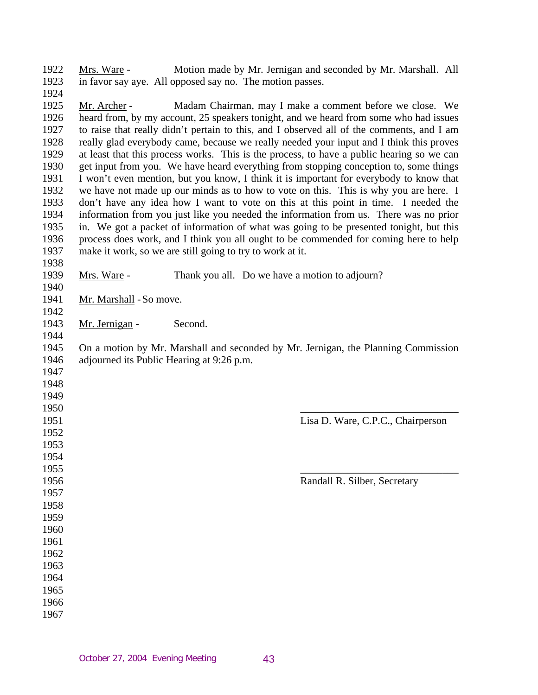Mrs. Ware - Motion made by Mr. Jernigan and seconded by Mr. Marshall. All in favor say aye. All opposed say no. The motion passes.

 Mr. Archer - Madam Chairman, may I make a comment before we close. We heard from, by my account, 25 speakers tonight, and we heard from some who had issues to raise that really didn't pertain to this, and I observed all of the comments, and I am really glad everybody came, because we really needed your input and I think this proves at least that this process works. This is the process, to have a public hearing so we can get input from you. We have heard everything from stopping conception to, some things I won't even mention, but you know, I think it is important for everybody to know that we have not made up our minds as to how to vote on this. This is why you are here. I don't have any idea how I want to vote on this at this point in time. I needed the information from you just like you needed the information from us. There was no prior in. We got a packet of information of what was going to be presented tonight, but this process does work, and I think you all ought to be commended for coming here to help make it work, so we are still going to try to work at it.

 

  Mrs. Ware - Thank you all. Do we have a motion to adjourn?

 Mr. Marshall - So move.

 Mr. Jernigan - Second.

 On a motion by Mr. Marshall and seconded by Mr. Jernigan, the Planning Commission adjourned its Public Hearing at 9:26 p.m.

| 1949 |                                   |
|------|-----------------------------------|
| 1950 |                                   |
| 1951 | Lisa D. Ware, C.P.C., Chairperson |
| 1952 |                                   |
| 1953 |                                   |
| 1954 |                                   |
| 1955 |                                   |
| 1956 | Randall R. Silber, Secretary      |
| 1957 |                                   |
| 1958 |                                   |
| 1959 |                                   |
| 1960 |                                   |
| 1961 |                                   |
| 1962 |                                   |
| 1963 |                                   |
| 1964 |                                   |
| 1965 |                                   |
| 1966 |                                   |
| 1967 |                                   |